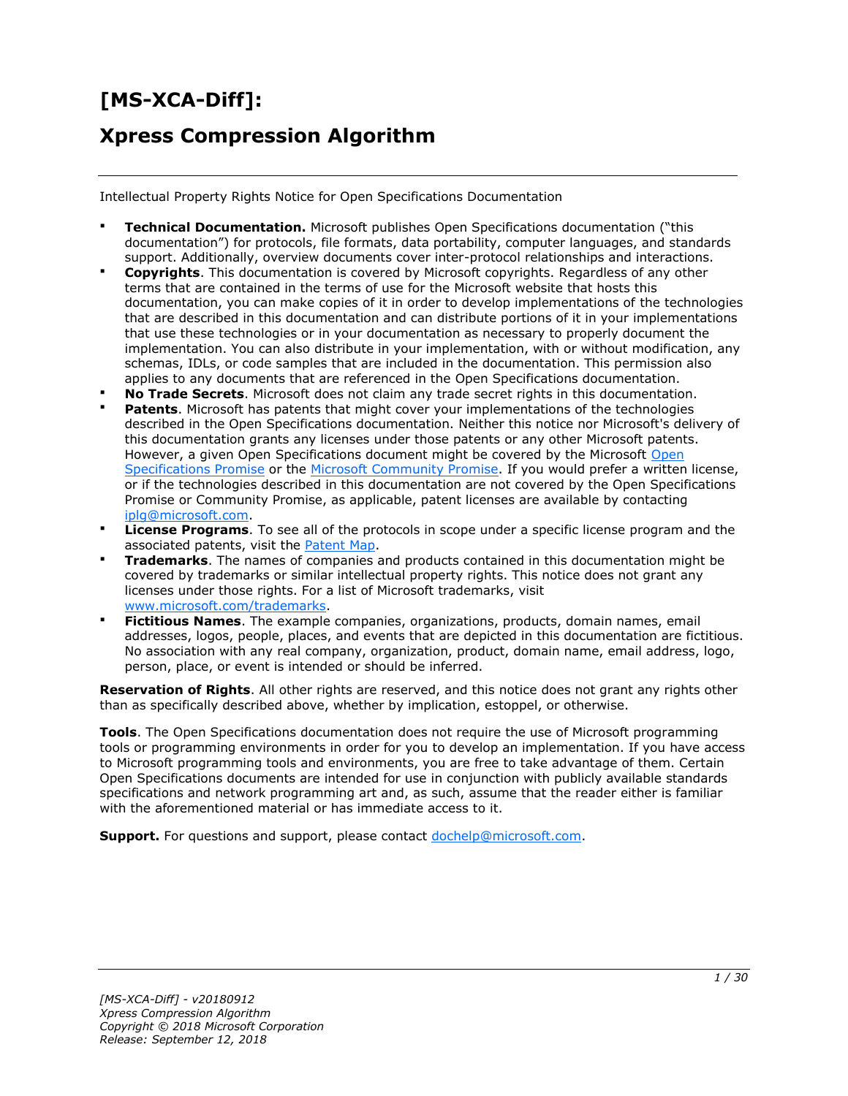# **[MS-XCA-Diff]:**

# **Xpress Compression Algorithm**

Intellectual Property Rights Notice for Open Specifications Documentation

- **Technical Documentation.** Microsoft publishes Open Specifications documentation ("this documentation") for protocols, file formats, data portability, computer languages, and standards support. Additionally, overview documents cover inter-protocol relationships and interactions.
- **Copyrights**. This documentation is covered by Microsoft copyrights. Regardless of any other terms that are contained in the terms of use for the Microsoft website that hosts this documentation, you can make copies of it in order to develop implementations of the technologies that are described in this documentation and can distribute portions of it in your implementations that use these technologies or in your documentation as necessary to properly document the implementation. You can also distribute in your implementation, with or without modification, any schemas, IDLs, or code samples that are included in the documentation. This permission also applies to any documents that are referenced in the Open Specifications documentation.
- **No Trade Secrets**. Microsoft does not claim any trade secret rights in this documentation.
- **Patents**. Microsoft has patents that might cover your implementations of the technologies described in the Open Specifications documentation. Neither this notice nor Microsoft's delivery of this documentation grants any licenses under those patents or any other Microsoft patents. However, a given [Open](http://go.microsoft.com/fwlink/?LinkId=214445) Specifications document might be covered by the Microsoft Open [Specifications Promise](http://go.microsoft.com/fwlink/?LinkId=214445) or the [Microsoft Community Promise.](https://go.microsoft.com/fwlink/?LinkId=214448) If you would prefer a written license, or if the technologies described in this documentation are not covered by the Open Specifications Promise or Community Promise, as applicable, patent licenses are available by contacting [iplg@microsoft.com.](mailto:iplg@microsoft.com)
- **License Programs**. To see all of the protocols in scope under a specific license program and the associated patents, visit the [Patent Map.](https://msdn.microsoft.com/en-us/openspecifications/dn750984)
- **Trademarks**. The names of companies and products contained in this documentation might be covered by trademarks or similar intellectual property rights. This notice does not grant any licenses under those rights. For a list of Microsoft trademarks, visit www.microsoft.com/trademarks.
- **Fictitious Names.** The example companies, organizations, products, domain names, email addresses, logos, people, places, and events that are depicted in this documentation are fictitious. No association with any real company, organization, product, domain name, email address, logo, person, place, or event is intended or should be inferred.

**Reservation of Rights**. All other rights are reserved, and this notice does not grant any rights other than as specifically described above, whether by implication, estoppel, or otherwise.

**Tools**. The Open Specifications documentation does not require the use of Microsoft programming tools or programming environments in order for you to develop an implementation. If you have access to Microsoft programming tools and environments, you are free to take advantage of them. Certain Open Specifications documents are intended for use in conjunction with publicly available standards specifications and network programming art and, as such, assume that the reader either is familiar with the aforementioned material or has immediate access to it.

**Support.** For questions and support, please contact dochelp@microsoft.com.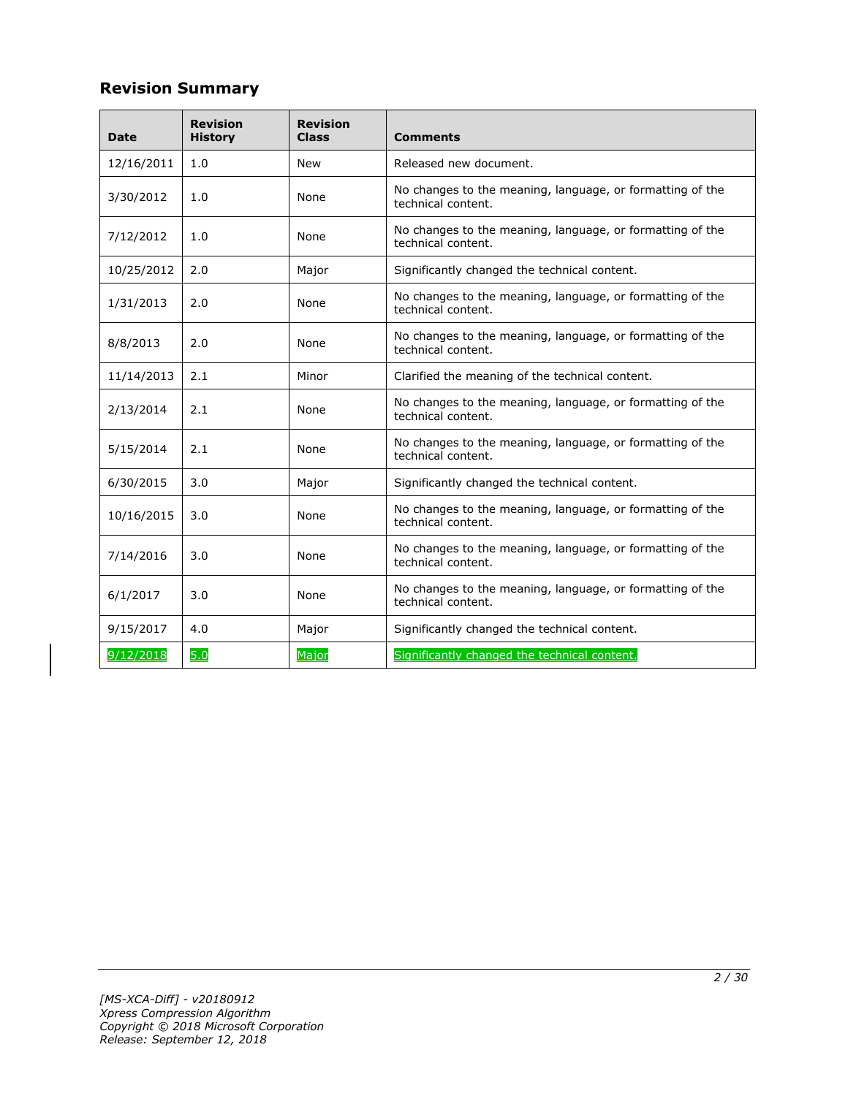# **Revision Summary**

| Date       | <b>Revision</b><br><b>History</b> | <b>Revision</b><br><b>Class</b> | <b>Comments</b>                                                                 |
|------------|-----------------------------------|---------------------------------|---------------------------------------------------------------------------------|
| 12/16/2011 | 1.0                               | <b>New</b>                      | Released new document.                                                          |
| 3/30/2012  | 1.0                               | None                            | No changes to the meaning, language, or formatting of the<br>technical content. |
| 7/12/2012  | 1.0                               | None                            | No changes to the meaning, language, or formatting of the<br>technical content. |
| 10/25/2012 | 2.0                               | Major                           | Significantly changed the technical content.                                    |
| 1/31/2013  | 2.0                               | None                            | No changes to the meaning, language, or formatting of the<br>technical content. |
| 8/8/2013   | 2.0                               | None                            | No changes to the meaning, language, or formatting of the<br>technical content. |
| 11/14/2013 | 2.1                               | Minor                           | Clarified the meaning of the technical content.                                 |
| 2/13/2014  | 2.1                               | None                            | No changes to the meaning, language, or formatting of the<br>technical content. |
| 5/15/2014  | 2.1                               | None                            | No changes to the meaning, language, or formatting of the<br>technical content. |
| 6/30/2015  | 3.0                               | Major                           | Significantly changed the technical content.                                    |
| 10/16/2015 | 3.0                               | None                            | No changes to the meaning, language, or formatting of the<br>technical content. |
| 7/14/2016  | 3.0                               | None                            | No changes to the meaning, language, or formatting of the<br>technical content. |
| 6/1/2017   | 3.0                               | None                            | No changes to the meaning, language, or formatting of the<br>technical content. |
| 9/15/2017  | 4.0                               | Major                           | Significantly changed the technical content.                                    |
| 9/12/2018  | 5.0                               | Major                           | Significantly changed the technical content.                                    |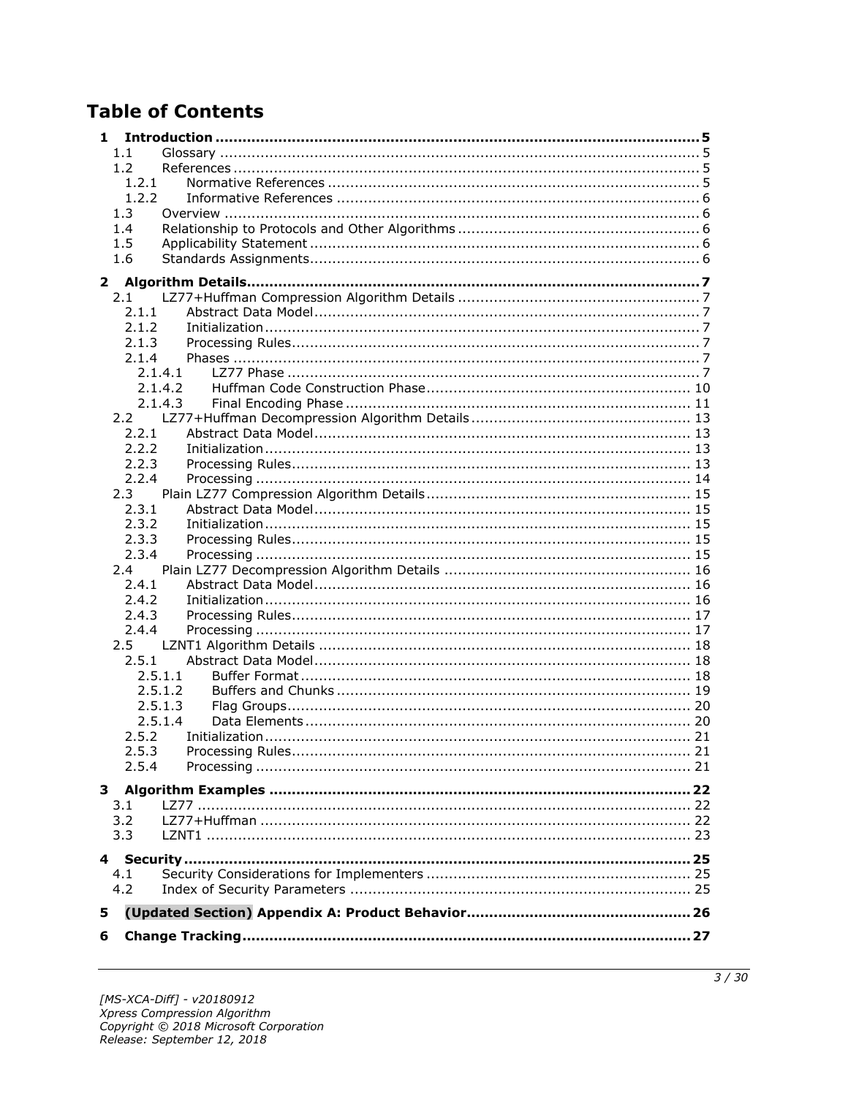# **Table of Contents**

| 1            |               |         |  |
|--------------|---------------|---------|--|
|              | 1.1           |         |  |
|              | 1.2           |         |  |
|              | 1.2.1         |         |  |
|              | 1.2.2         |         |  |
|              | 1.3           |         |  |
|              | 1.4           |         |  |
|              | 1.5           |         |  |
|              | 1.6           |         |  |
| $\mathbf{2}$ |               |         |  |
|              | 2.1           |         |  |
|              | 2.1.1         |         |  |
|              | 2.1.2         |         |  |
|              | 2.1.3         |         |  |
|              | 2.1.4         |         |  |
|              |               | 2.1.4.1 |  |
|              |               | 2.1.4.2 |  |
|              |               | 2.1.4.3 |  |
|              |               |         |  |
|              | 2.2.1         |         |  |
|              | 2.2.2         |         |  |
|              | 2.2.3         |         |  |
|              | 2.2.4         |         |  |
|              | 2.3           |         |  |
|              | 2.3.1         |         |  |
|              | 2.3.2         |         |  |
|              | 2.3.3         |         |  |
|              | 2.3.4         |         |  |
|              | 2.4           |         |  |
|              | 2.4.1         |         |  |
|              | 2.4.2         |         |  |
|              | 2.4.3         |         |  |
|              | 2.4.4         |         |  |
|              | $2.5^{\circ}$ |         |  |
|              | 2.5.1         | 2.5.1.1 |  |
|              |               | 2.5.1.2 |  |
|              |               | 2.5.1.3 |  |
|              |               | 2.5.1.4 |  |
|              | 2.5.2         |         |  |
|              | 2.5.3         |         |  |
|              | 2.5.4         |         |  |
|              |               |         |  |
|              |               |         |  |
|              | 3.1           |         |  |
|              | 3.2           |         |  |
|              | 3.3           |         |  |
|              |               |         |  |
|              | 4.1           |         |  |
|              | 4.2           |         |  |
|              |               |         |  |
| 5            |               |         |  |
| 6            |               |         |  |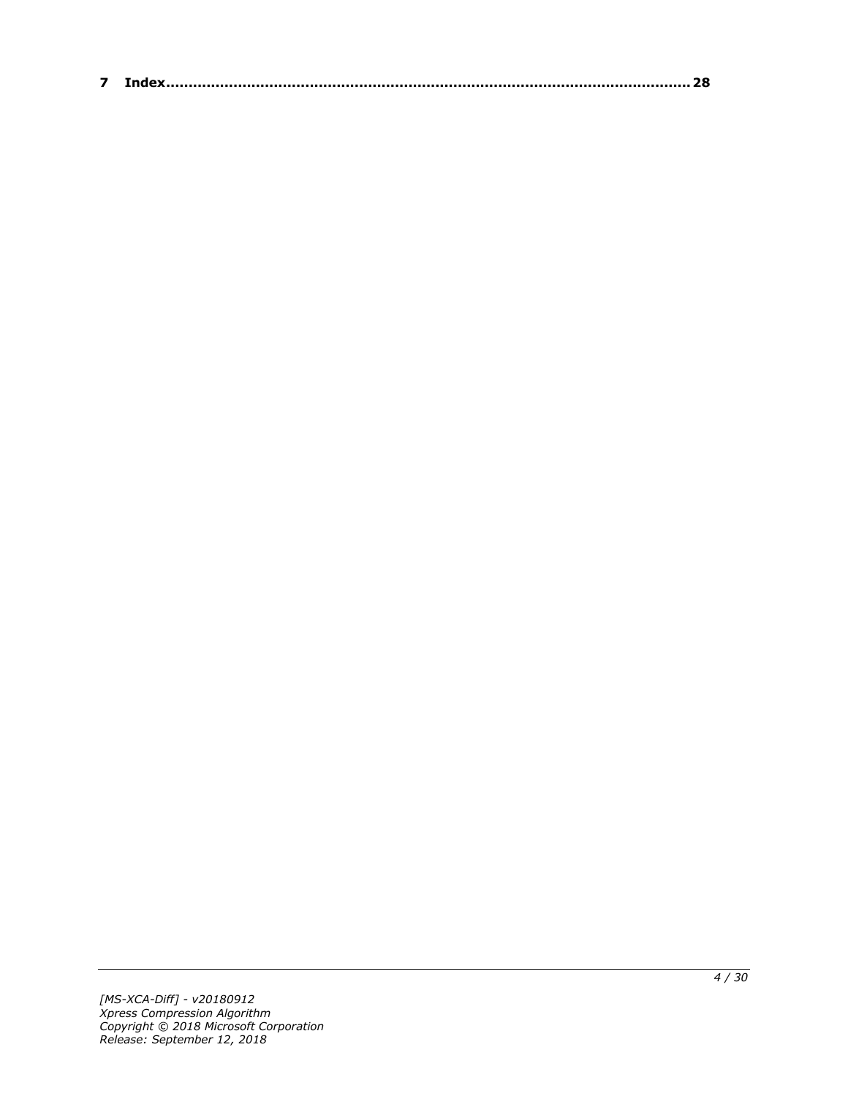| $\sim$ |  |
|--------|--|
|--------|--|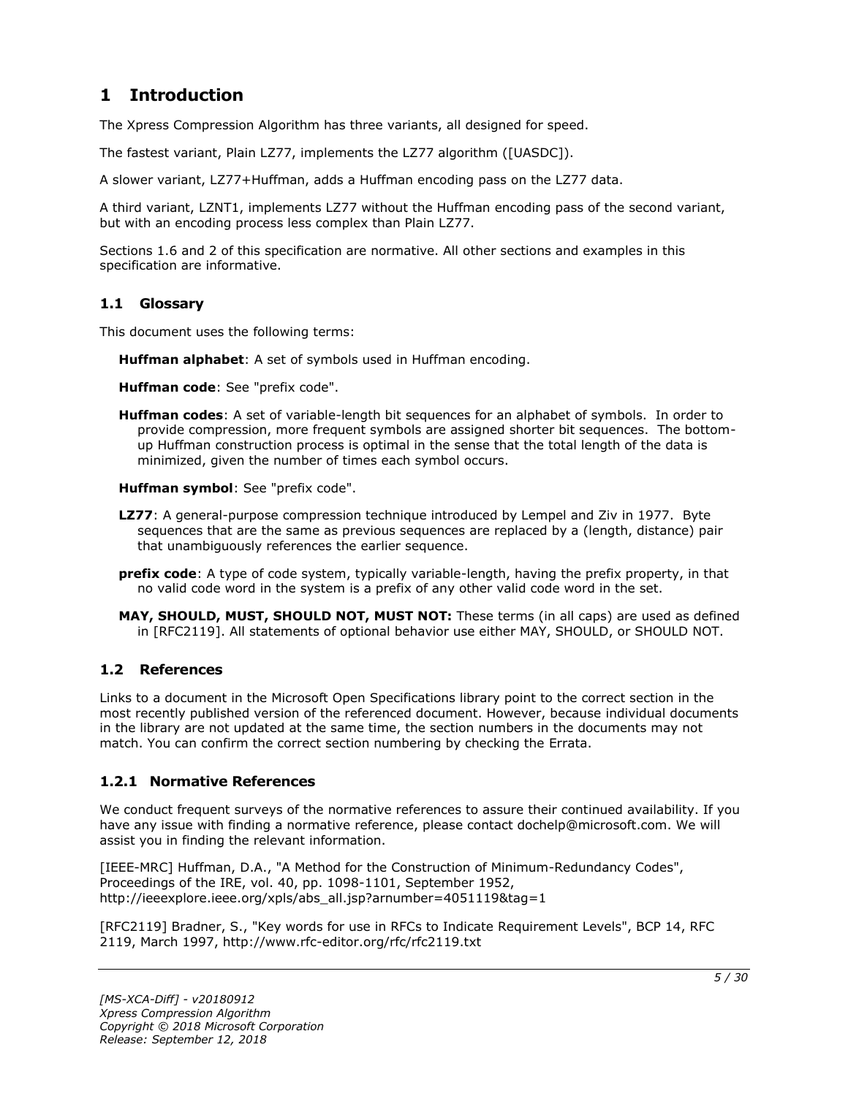# <span id="page-4-0"></span>**1 Introduction**

The Xpress Compression Algorithm has three variants, all designed for speed.

The fastest variant, Plain LZ77, implements the LZ77 algorithm ([UASDC]).

A slower variant, LZ77+Huffman, adds a Huffman encoding pass on the LZ77 data.

A third variant, LZNT1, implements LZ77 without the Huffman encoding pass of the second variant, but with an encoding process less complex than Plain LZ77.

Sections 1.6 and 2 of this specification are normative. All other sections and examples in this specification are informative.

### <span id="page-4-1"></span>**1.1 Glossary**

This document uses the following terms:

**Huffman alphabet**: A set of symbols used in Huffman encoding.

**Huffman code**: See "prefix code".

**Huffman codes**: A set of variable-length bit sequences for an alphabet of symbols. In order to provide compression, more frequent symbols are assigned shorter bit sequences. The bottomup Huffman construction process is optimal in the sense that the total length of the data is minimized, given the number of times each symbol occurs.

**Huffman symbol**: See "prefix code".

- **LZ77**: A general-purpose compression technique introduced by Lempel and Ziv in 1977. Byte sequences that are the same as previous sequences are replaced by a (length, distance) pair that unambiguously references the earlier sequence.
- **prefix code**: A type of code system, typically variable-length, having the prefix property, in that no valid code word in the system is a prefix of any other valid code word in the set.
- **MAY, SHOULD, MUST, SHOULD NOT, MUST NOT:** These terms (in all caps) are used as defined in [RFC2119]. All statements of optional behavior use either MAY, SHOULD, or SHOULD NOT.

# <span id="page-4-2"></span>**1.2 References**

Links to a document in the Microsoft Open Specifications library point to the correct section in the most recently published version of the referenced document. However, because individual documents in the library are not updated at the same time, the section numbers in the documents may not match. You can confirm the correct section numbering by checking the Errata.

# <span id="page-4-3"></span>**1.2.1 Normative References**

We conduct frequent surveys of the normative references to assure their continued availability. If you have any issue with finding a normative reference, please contact dochelp@microsoft.com. We will assist you in finding the relevant information.

[IEEE-MRC] Huffman, D.A., "A Method for the Construction of Minimum-Redundancy Codes", Proceedings of the IRE, vol. 40, pp. 1098-1101, September 1952, http://ieeexplore.ieee.org/xpls/abs\_all.jsp?arnumber=4051119&tag=1

[RFC2119] Bradner, S., "Key words for use in RFCs to Indicate Requirement Levels", BCP 14, RFC 2119, March 1997, http://www.rfc-editor.org/rfc/rfc2119.txt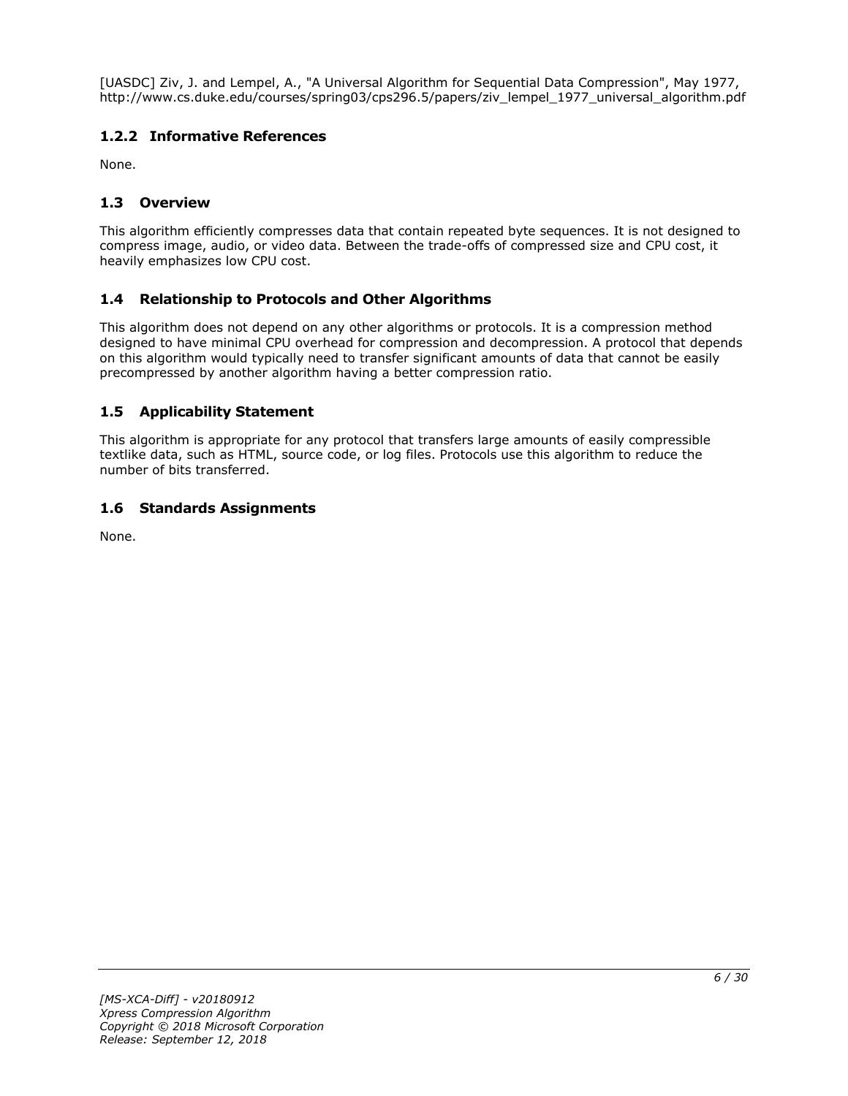[UASDC] Ziv, J. and Lempel, A., "A Universal Algorithm for Sequential Data Compression", May 1977, http://www.cs.duke.edu/courses/spring03/cps296.5/papers/ziv\_lempel\_1977\_universal\_algorithm.pdf

# <span id="page-5-0"></span>**1.2.2 Informative References**

None.

# <span id="page-5-1"></span>**1.3 Overview**

This algorithm efficiently compresses data that contain repeated byte sequences. It is not designed to compress image, audio, or video data. Between the trade-offs of compressed size and CPU cost, it heavily emphasizes low CPU cost.

# <span id="page-5-2"></span>**1.4 Relationship to Protocols and Other Algorithms**

This algorithm does not depend on any other algorithms or protocols. It is a compression method designed to have minimal CPU overhead for compression and decompression. A protocol that depends on this algorithm would typically need to transfer significant amounts of data that cannot be easily precompressed by another algorithm having a better compression ratio.

# <span id="page-5-3"></span>**1.5 Applicability Statement**

This algorithm is appropriate for any protocol that transfers large amounts of easily compressible textlike data, such as HTML, source code, or log files. Protocols use this algorithm to reduce the number of bits transferred.

# <span id="page-5-4"></span>**1.6 Standards Assignments**

None.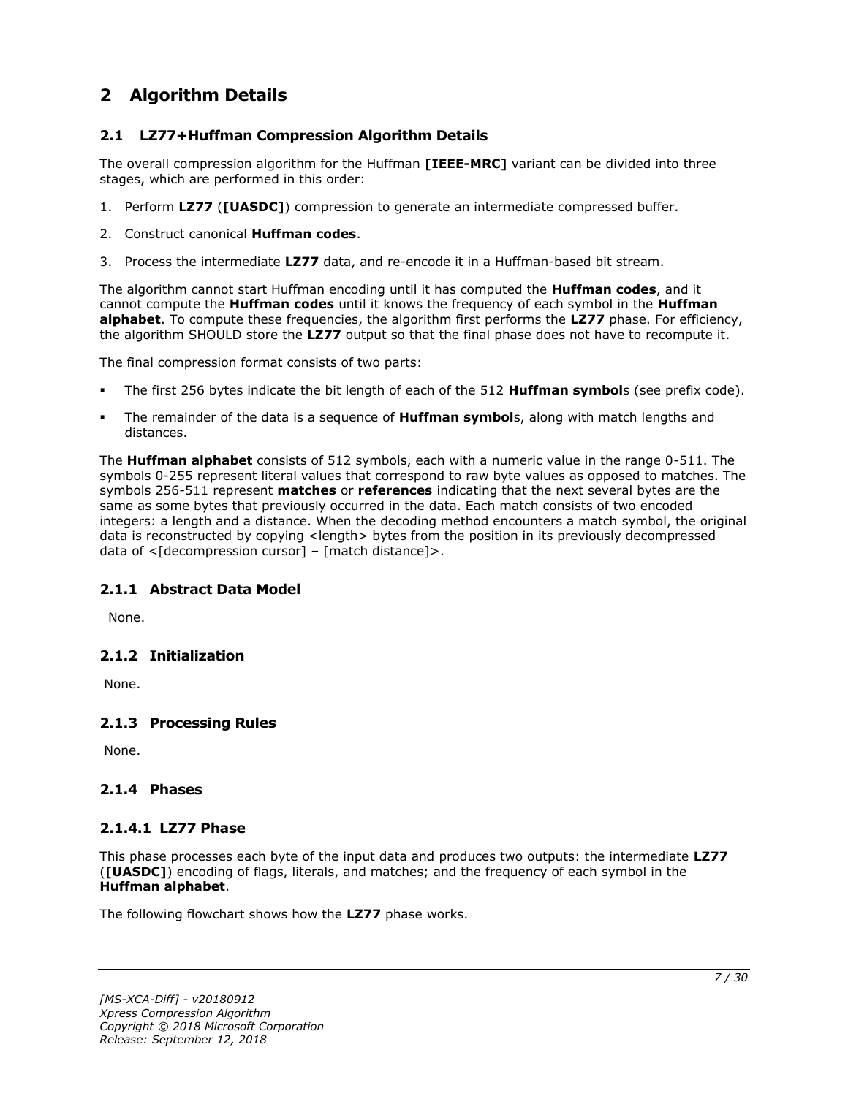# <span id="page-6-0"></span>**2 Algorithm Details**

# <span id="page-6-1"></span>**2.1 LZ77+Huffman Compression Algorithm Details**

The overall compression algorithm for the Huffman **[IEEE-MRC]** variant can be divided into three stages, which are performed in this order:

- 1. Perform **LZ77** (**[UASDC]**) compression to generate an intermediate compressed buffer.
- 2. Construct canonical **Huffman codes**.
- 3. Process the intermediate **LZ77** data, and re-encode it in a Huffman-based bit stream.

The algorithm cannot start Huffman encoding until it has computed the **Huffman codes**, and it cannot compute the **Huffman codes** until it knows the frequency of each symbol in the **Huffman alphabet**. To compute these frequencies, the algorithm first performs the **LZ77** phase. For efficiency, the algorithm SHOULD store the **LZ77** output so that the final phase does not have to recompute it.

The final compression format consists of two parts:

- The first 256 bytes indicate the bit length of each of the 512 **Huffman symbol**s (see prefix code).
- The remainder of the data is a sequence of **Huffman symbol**s, along with match lengths and distances.

The **Huffman alphabet** consists of 512 symbols, each with a numeric value in the range 0-511. The symbols 0-255 represent literal values that correspond to raw byte values as opposed to matches. The symbols 256-511 represent **matches** or **references** indicating that the next several bytes are the same as some bytes that previously occurred in the data. Each match consists of two encoded integers: a length and a distance. When the decoding method encounters a match symbol, the original data is reconstructed by copying <length> bytes from the position in its previously decompressed data of <[decompression cursor] – [match distance]>.

# <span id="page-6-2"></span>**2.1.1 Abstract Data Model**

None.

#### <span id="page-6-3"></span>**2.1.2 Initialization**

None.

# <span id="page-6-4"></span>**2.1.3 Processing Rules**

None.

# <span id="page-6-5"></span>**2.1.4 Phases**

# <span id="page-6-6"></span>**2.1.4.1 LZ77 Phase**

This phase processes each byte of the input data and produces two outputs: the intermediate **LZ77** (**[UASDC]**) encoding of flags, literals, and matches; and the frequency of each symbol in the **Huffman alphabet**.

The following flowchart shows how the **LZ77** phase works.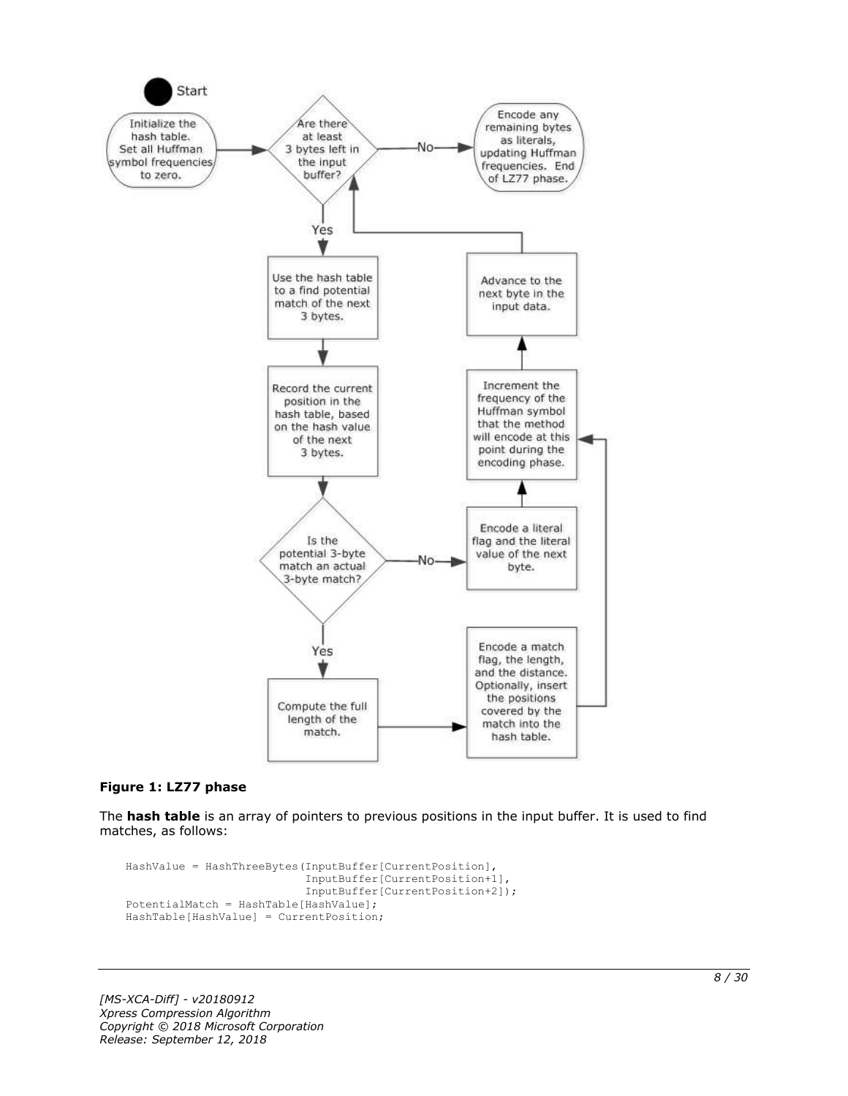

#### **Figure 1: LZ77 phase**

The **hash table** is an array of pointers to previous positions in the input buffer. It is used to find matches, as follows:

```
HashValue = HashThreeBytes(InputBuffer[CurrentPosition],
                            InputBuffer[CurrentPosition+1],
                           InputBuffer[CurrentPosition+2]);
PotentialMatch = HashTable[HashValue];
HashTable[HashValue] = CurrentPosition;
```
*[MS-XCA-Diff] - v20180912 Xpress Compression Algorithm Copyright © 2018 Microsoft Corporation Release: September 12, 2018*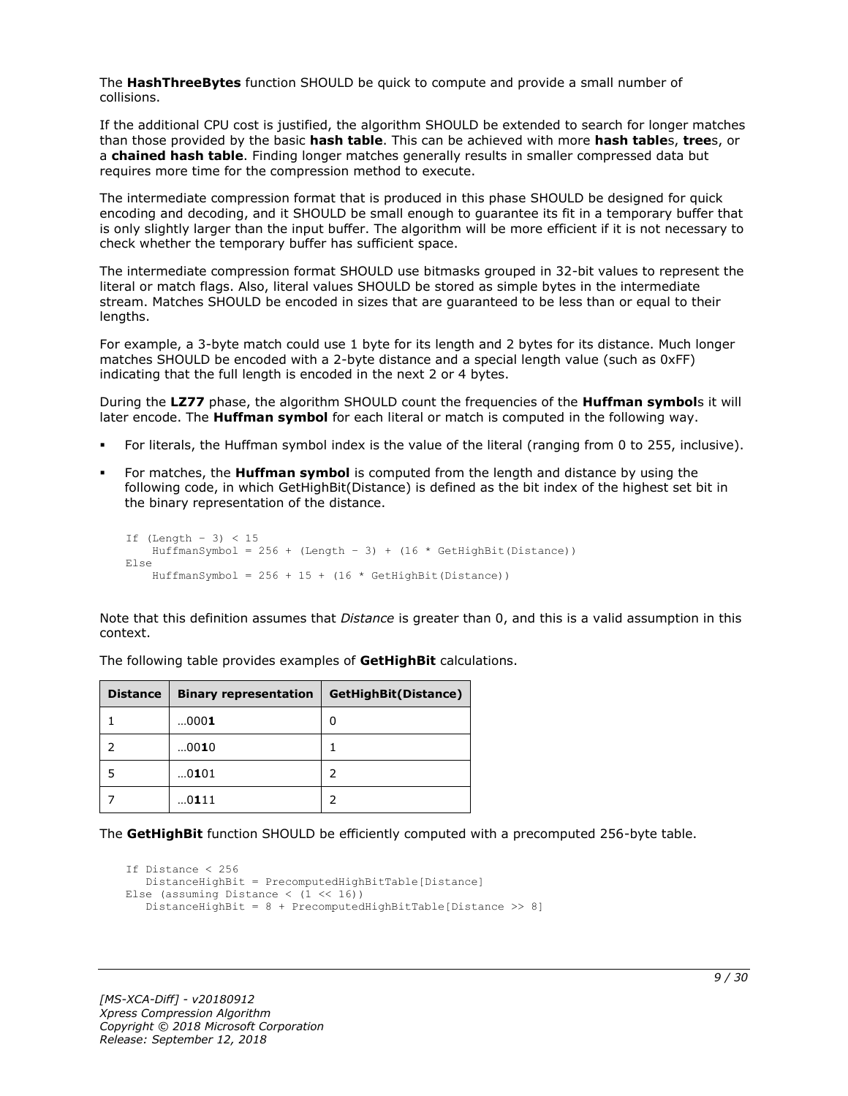The **HashThreeBytes** function SHOULD be quick to compute and provide a small number of collisions.

If the additional CPU cost is justified, the algorithm SHOULD be extended to search for longer matches than those provided by the basic **hash table**. This can be achieved with more **hash table**s, **tree**s, or a **chained hash table**. Finding longer matches generally results in smaller compressed data but requires more time for the compression method to execute.

The intermediate compression format that is produced in this phase SHOULD be designed for quick encoding and decoding, and it SHOULD be small enough to guarantee its fit in a temporary buffer that is only slightly larger than the input buffer. The algorithm will be more efficient if it is not necessary to check whether the temporary buffer has sufficient space.

The intermediate compression format SHOULD use bitmasks grouped in 32-bit values to represent the literal or match flags. Also, literal values SHOULD be stored as simple bytes in the intermediate stream. Matches SHOULD be encoded in sizes that are guaranteed to be less than or equal to their lengths.

For example, a 3-byte match could use 1 byte for its length and 2 bytes for its distance. Much longer matches SHOULD be encoded with a 2-byte distance and a special length value (such as 0xFF) indicating that the full length is encoded in the next 2 or 4 bytes.

During the **LZ77** phase, the algorithm SHOULD count the frequencies of the **Huffman symbol**s it will later encode. The **Huffman symbol** for each literal or match is computed in the following way.

- For literals, the Huffman symbol index is the value of the literal (ranging from 0 to 255, inclusive).
- For matches, the **Huffman symbol** is computed from the length and distance by using the following code, in which GetHighBit(Distance) is defined as the bit index of the highest set bit in the binary representation of the distance.

```
If (Lenqth - 3) < 15HuffmanSymbol = 256 + (Length - 3) + (16 * GetHighBit(Distance))Else
    HuffmanSymbol = 256 + 15 + (16 * \text{GetHighBit}(\text{Distance}))
```
Note that this definition assumes that *Distance* is greater than 0, and this is a valid assumption in this context.

| Distance | <b>Binary representation</b> | GetHighBit(Distance) |
|----------|------------------------------|----------------------|
|          | $000$ 1                      | 0                    |
|          | 0010                         |                      |
|          | 0101                         |                      |
|          | 0111                         |                      |

The following table provides examples of **GetHighBit** calculations.

The **GetHighBit** function SHOULD be efficiently computed with a precomputed 256-byte table.

```
If Distance < 256
    DistanceHighBit = PrecomputedHighBitTable[Distance]
Else (assuming Distance \langle (1 \langle 16))
    DistanceHighBit = 8 + PrecomputedHighBitTable[Distance >> 8]
```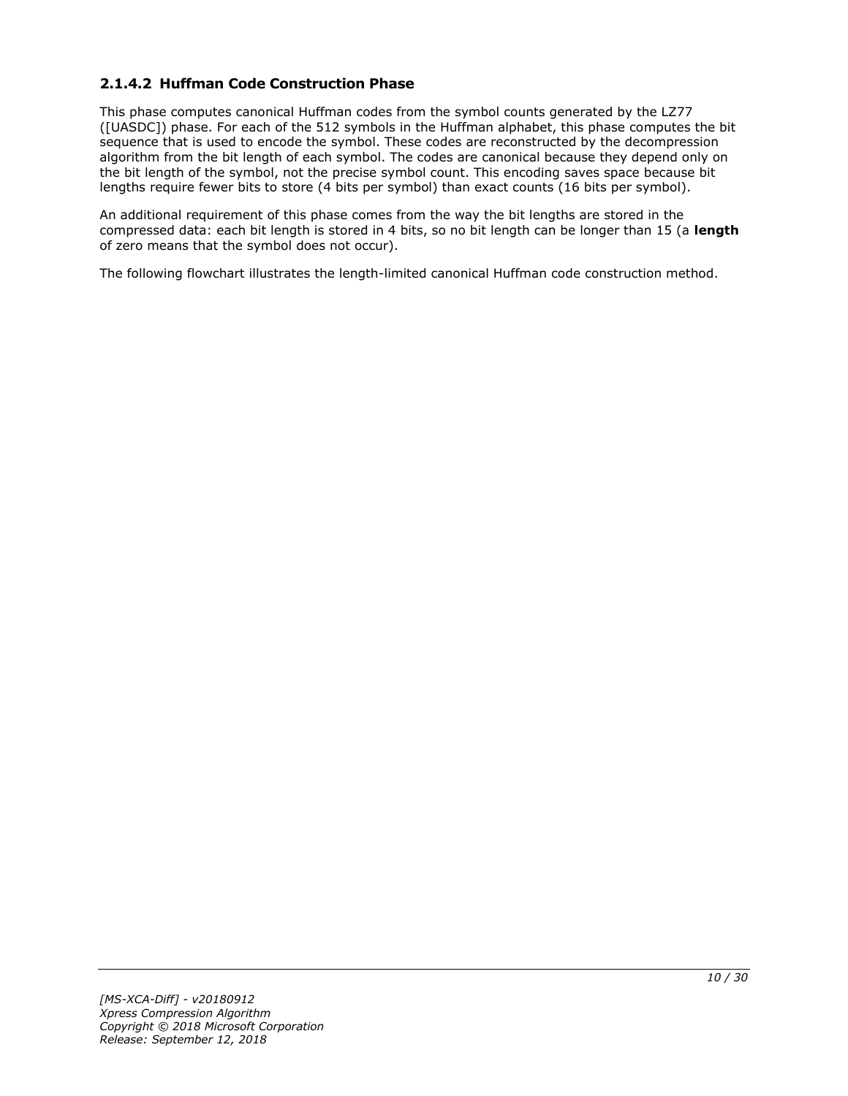# <span id="page-9-0"></span>**2.1.4.2 Huffman Code Construction Phase**

This phase computes canonical Huffman codes from the symbol counts generated by the LZ77 ([UASDC]) phase. For each of the 512 symbols in the Huffman alphabet, this phase computes the bit sequence that is used to encode the symbol. These codes are reconstructed by the decompression algorithm from the bit length of each symbol. The codes are canonical because they depend only on the bit length of the symbol, not the precise symbol count. This encoding saves space because bit lengths require fewer bits to store (4 bits per symbol) than exact counts (16 bits per symbol).

An additional requirement of this phase comes from the way the bit lengths are stored in the compressed data: each bit length is stored in 4 bits, so no bit length can be longer than 15 (a **length** of zero means that the symbol does not occur).

The following flowchart illustrates the length-limited canonical Huffman code construction method.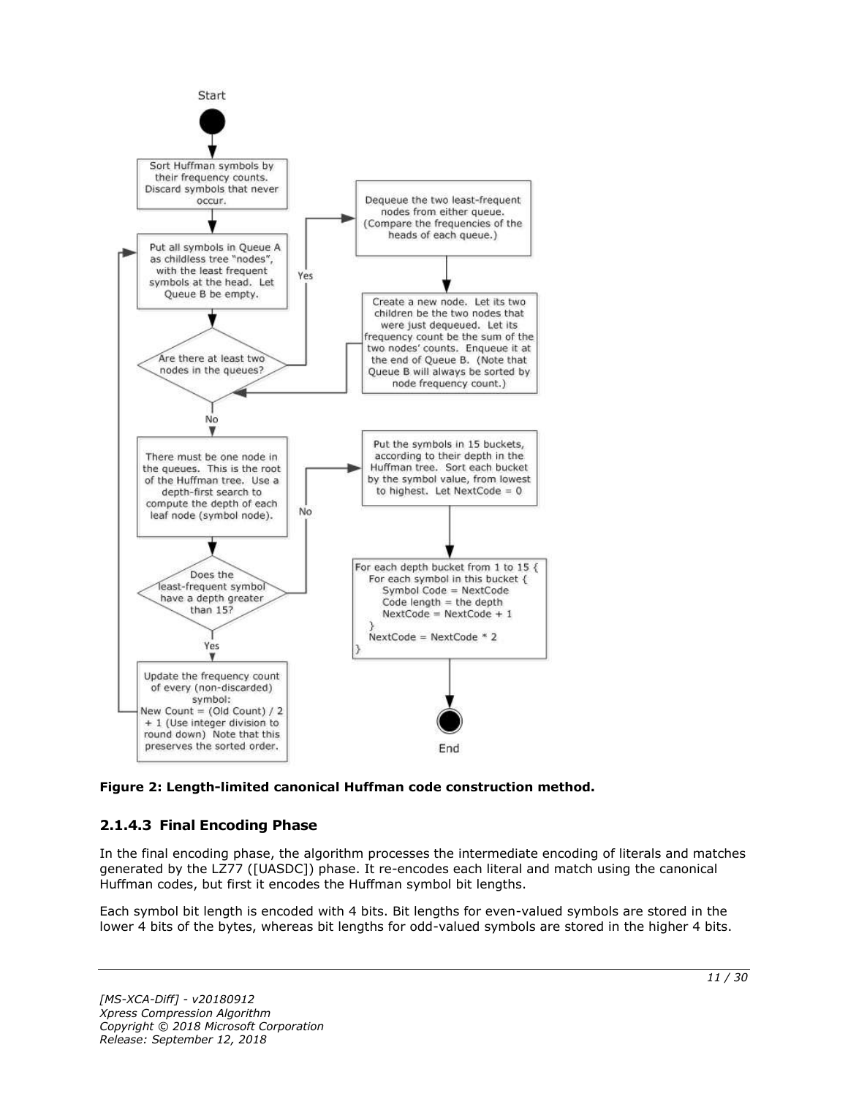

**Figure 2: Length-limited canonical Huffman code construction method.**

# <span id="page-10-0"></span>**2.1.4.3 Final Encoding Phase**

In the final encoding phase, the algorithm processes the intermediate encoding of literals and matches generated by the LZ77 ([UASDC]) phase. It re-encodes each literal and match using the canonical Huffman codes, but first it encodes the Huffman symbol bit lengths.

Each symbol bit length is encoded with 4 bits. Bit lengths for even-valued symbols are stored in the lower 4 bits of the bytes, whereas bit lengths for odd-valued symbols are stored in the higher 4 bits.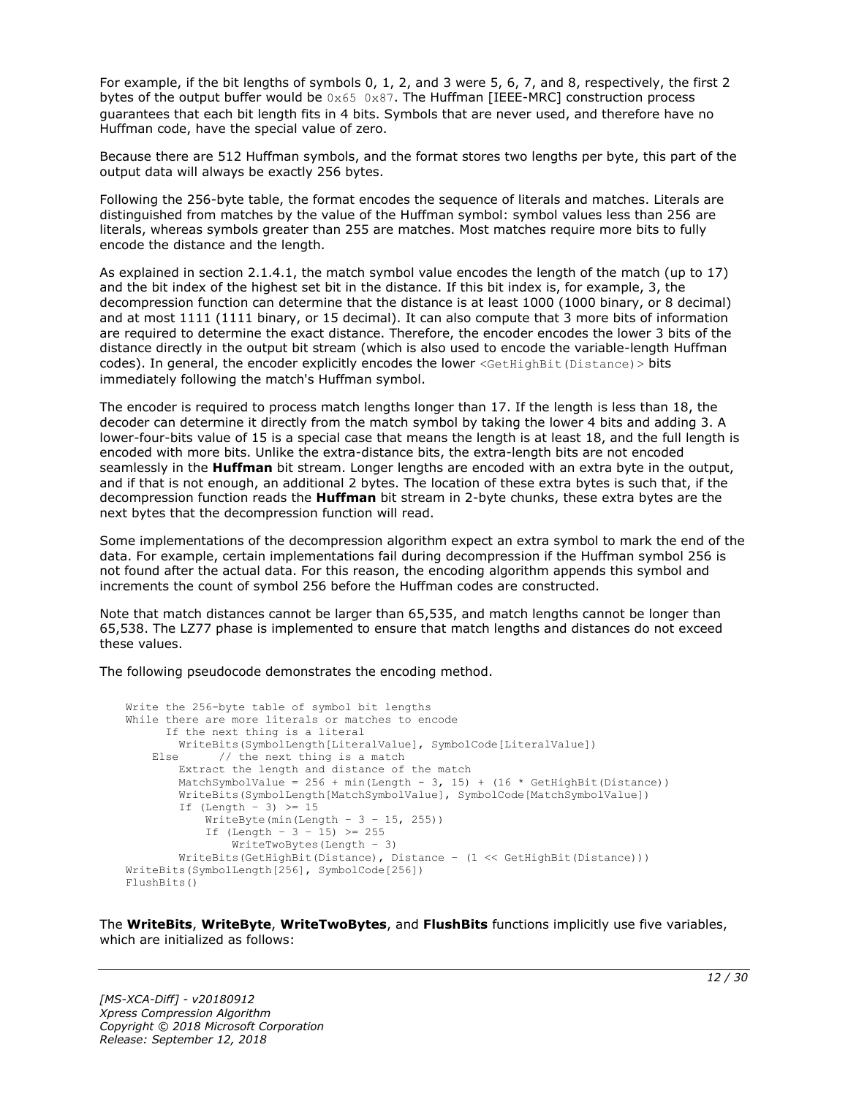For example, if the bit lengths of symbols 0, 1, 2, and 3 were 5, 6, 7, and 8, respectively, the first 2 bytes of the output buffer would be  $0 \times 65$  0x87. The Huffman [IEEE-MRC] construction process guarantees that each bit length fits in 4 bits. Symbols that are never used, and therefore have no Huffman code, have the special value of zero.

Because there are 512 Huffman symbols, and the format stores two lengths per byte, this part of the output data will always be exactly 256 bytes.

Following the 256-byte table, the format encodes the sequence of literals and matches. Literals are distinguished from matches by the value of the Huffman symbol: symbol values less than 256 are literals, whereas symbols greater than 255 are matches. Most matches require more bits to fully encode the distance and the length.

As explained in section 2.1.4.1, the match symbol value encodes the length of the match (up to 17) and the bit index of the highest set bit in the distance. If this bit index is, for example, 3, the decompression function can determine that the distance is at least 1000 (1000 binary, or 8 decimal) and at most 1111 (1111 binary, or 15 decimal). It can also compute that 3 more bits of information are required to determine the exact distance. Therefore, the encoder encodes the lower 3 bits of the distance directly in the output bit stream (which is also used to encode the variable-length Huffman codes). In general, the encoder explicitly encodes the lower <GetHighBit(Distance) > bits immediately following the match's Huffman symbol.

The encoder is required to process match lengths longer than 17. If the length is less than 18, the decoder can determine it directly from the match symbol by taking the lower 4 bits and adding 3. A lower-four-bits value of 15 is a special case that means the length is at least 18, and the full length is encoded with more bits. Unlike the extra-distance bits, the extra-length bits are not encoded seamlessly in the **Huffman** bit stream. Longer lengths are encoded with an extra byte in the output, and if that is not enough, an additional 2 bytes. The location of these extra bytes is such that, if the decompression function reads the **Huffman** bit stream in 2-byte chunks, these extra bytes are the next bytes that the decompression function will read.

Some implementations of the decompression algorithm expect an extra symbol to mark the end of the data. For example, certain implementations fail during decompression if the Huffman symbol 256 is not found after the actual data. For this reason, the encoding algorithm appends this symbol and increments the count of symbol 256 before the Huffman codes are constructed.

Note that match distances cannot be larger than 65.535, and match lengths cannot be longer than 65,538. The LZ77 phase is implemented to ensure that match lengths and distances do not exceed these values.

The following pseudocode demonstrates the encoding method.

```
Write the 256-byte table of symbol bit lengths
While there are more literals or matches to encode
      If the next thing is a literal
         WriteBits(SymbolLength[LiteralValue], SymbolCode[LiteralValue])
   Else // the next thing is a match
         Extract the length and distance of the match
        MatchSymbolValue = 256 + min(Length - 3, 15) + (16 * GetHighBit(Distance))
         WriteBits(SymbolLength[MatchSymbolValue], SymbolCode[MatchSymbolValue])
        If (Length - 3) \geq 15
            WriteByte(min(Length - 3 - 15, 255))
            If (Length - 3 - 15) >= 255
                WriteTwoBytes(Length – 3)
         WriteBits(GetHighBit(Distance), Distance – (1 << GetHighBit(Distance)))
WriteBits(SymbolLength[256], SymbolCode[256])
FlushBits()
```
The **WriteBits**, **WriteByte**, **WriteTwoBytes**, and **FlushBits** functions implicitly use five variables, which are initialized as follows: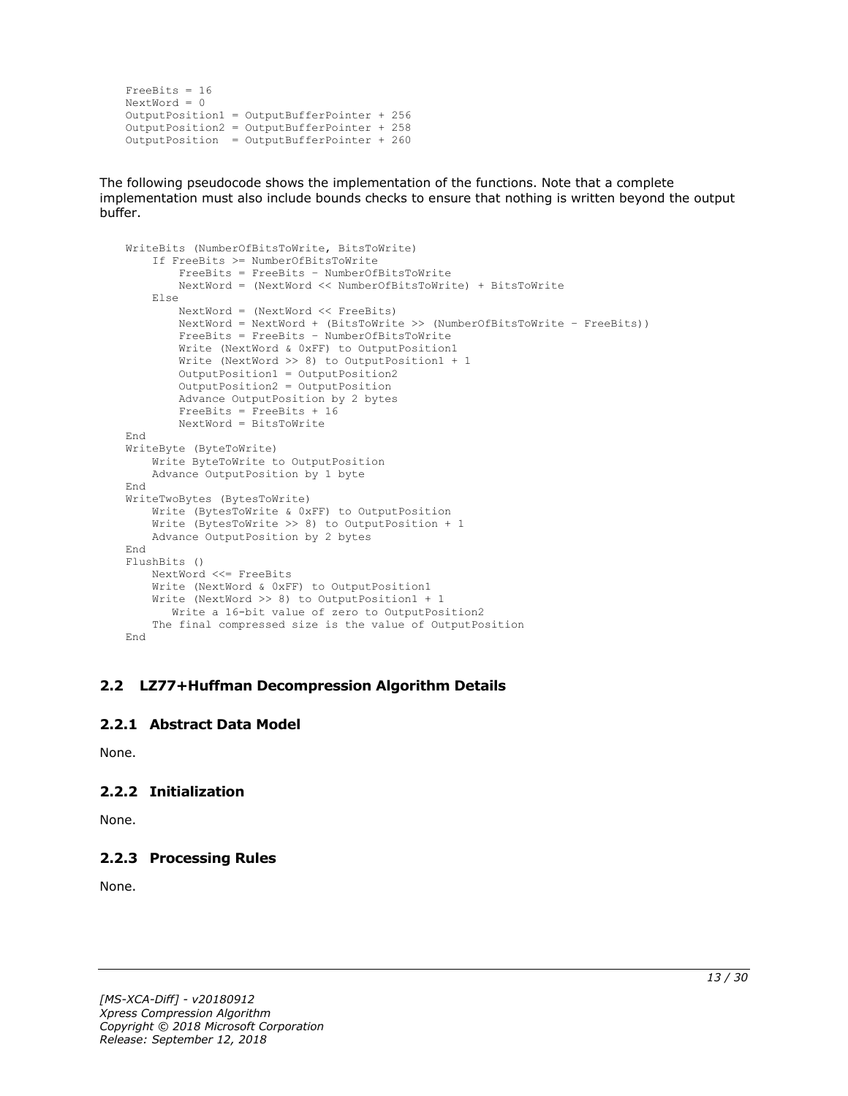```
FreeBits = 16
NextWord = 0
OutputPosition1 = OutputBufferPointer + 256
OutputPosition2 = OutputBufferPointer + 258 
OutputPosition = OutputBufferPointer + 260
```
The following pseudocode shows the implementation of the functions. Note that a complete implementation must also include bounds checks to ensure that nothing is written beyond the output buffer.

```
WriteBits (NumberOfBitsToWrite, BitsToWrite)
     If FreeBits >= NumberOfBitsToWrite
         FreeBits = FreeBits – NumberOfBitsToWrite
         NextWord = (NextWord << NumberOfBitsToWrite) + BitsToWrite
     Else
         NextWord = (NextWord << FreeBits)
         NextWord = NextWord + (BitsToWrite >> (NumberOfBitsToWrite – FreeBits))
         FreeBits = FreeBits – NumberOfBitsToWrite
         Write (NextWord & 0xFF) to OutputPosition1
         Write (NextWord >> 8) to OutputPosition1 + 1
         OutputPosition1 = OutputPosition2
        OutputPosition2 = OutputPosition
         Advance OutputPosition by 2 bytes
         FreeBits = FreeBits + 16
         NextWord = BitsToWrite
End
WriteByte (ByteToWrite)
    Write ByteToWrite to OutputPosition
     Advance OutputPosition by 1 byte
End
WriteTwoBytes (BytesToWrite)
     Write (BytesToWrite & 0xFF) to OutputPosition
     Write (BytesToWrite >> 8) to OutputPosition + 1
     Advance OutputPosition by 2 bytes
End
FlushBits ()
     NextWord <<= FreeBits
     Write (NextWord & 0xFF) to OutputPosition1
     Write (NextWord >> 8) to OutputPosition1 + 1
       Write a 16-bit value of zero to OutputPosition2
     The final compressed size is the value of OutputPosition
End
```
#### <span id="page-12-0"></span>**2.2 LZ77+Huffman Decompression Algorithm Details**

### <span id="page-12-1"></span>**2.2.1 Abstract Data Model**

None.

# <span id="page-12-2"></span>**2.2.2 Initialization**

None.

# <span id="page-12-3"></span>**2.2.3 Processing Rules**

None.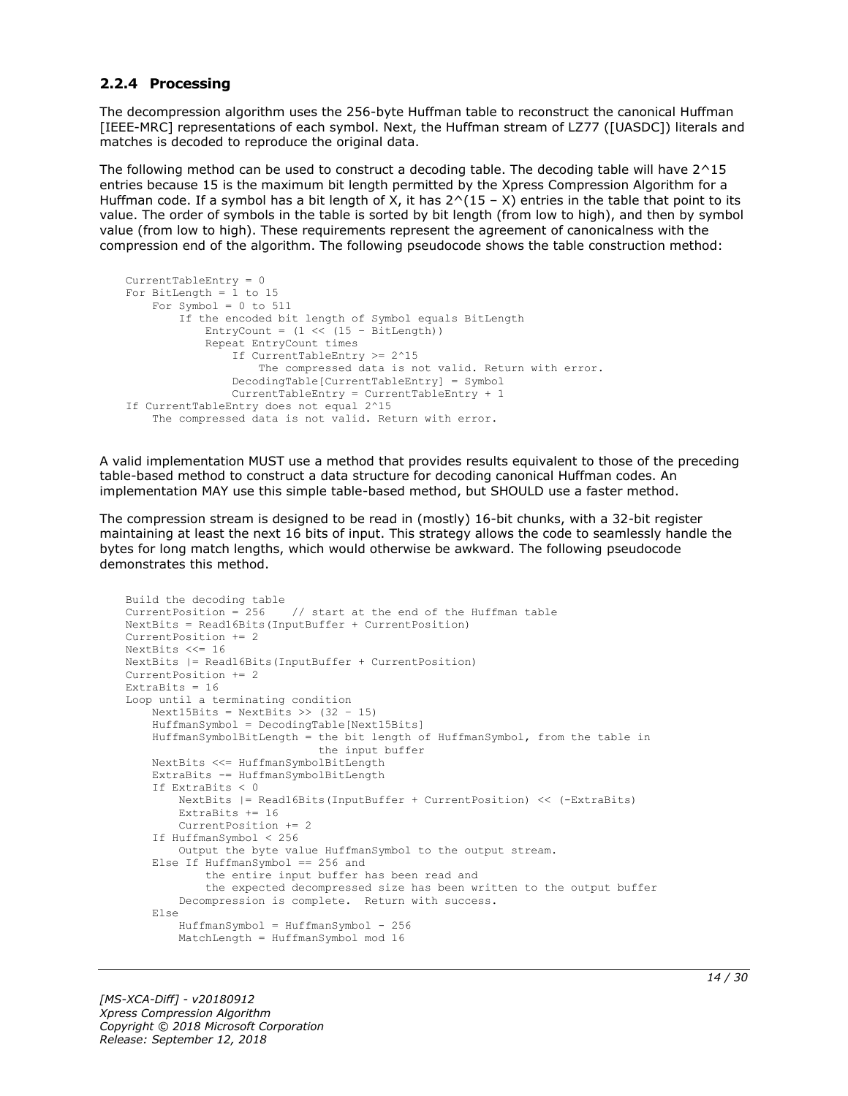#### <span id="page-13-0"></span>**2.2.4 Processing**

The decompression algorithm uses the 256-byte Huffman table to reconstruct the canonical Huffman [IEEE-MRC] representations of each symbol. Next, the Huffman stream of LZ77 ([UASDC]) literals and matches is decoded to reproduce the original data.

The following method can be used to construct a decoding table. The decoding table will have 2^15 entries because 15 is the maximum bit length permitted by the Xpress Compression Algorithm for a Huffman code. If a symbol has a bit length of X, it has  $2^(15 - X)$  entries in the table that point to its value. The order of symbols in the table is sorted by bit length (from low to high), and then by symbol value (from low to high). These requirements represent the agreement of canonicalness with the compression end of the algorithm. The following pseudocode shows the table construction method:

```
CurrentTableEntry = 0
For BitLength = 1 to 15
   For Symbol = 0 to 511
         If the encoded bit length of Symbol equals BitLength
            EntryCount = (1 \ll (15 - \text{BitLength})) Repeat EntryCount times
                 If CurrentTableEntry >= 2^15
                     The compressed data is not valid. Return with error.
                 DecodingTable[CurrentTableEntry] = Symbol
                CurrentTableEntry = CurrentTableEntry + 1
If CurrentTableEntry does not equal 2^15
     The compressed data is not valid. Return with error.
```
A valid implementation MUST use a method that provides results equivalent to those of the preceding table-based method to construct a data structure for decoding canonical Huffman codes. An implementation MAY use this simple table-based method, but SHOULD use a faster method.

The compression stream is designed to be read in (mostly) 16-bit chunks, with a 32-bit register maintaining at least the next 16 bits of input. This strategy allows the code to seamlessly handle the bytes for long match lengths, which would otherwise be awkward. The following pseudocode demonstrates this method.

```
Build the decoding table
CurrentPosition = 256 // start at the end of the Huffman table
NextBits = Read16Bits(InputBuffer + CurrentPosition)
CurrentPosition += 2
NextBits <<= 16
NextBits |= Read16Bits(InputBuffer + CurrentPosition)
CurrentPosition += 2
ExtraBits = 16
Loop until a terminating condition
    Next15Bits = NextBits >> (32 - 15)
     HuffmanSymbol = DecodingTable[Next15Bits]
     HuffmanSymbolBitLength = the bit length of HuffmanSymbol, from the table in
                              the input buffer
     NextBits <<= HuffmanSymbolBitLength
     ExtraBits -= HuffmanSymbolBitLength
     If ExtraBits < 0
         NextBits |= Read16Bits(InputBuffer + CurrentPosition) << (-ExtraBits)
        ExtraBits += 16 CurrentPosition += 2
     If HuffmanSymbol < 256
        Output the byte value HuffmanSymbol to the output stream.
     Else If HuffmanSymbol == 256 and
             the entire input buffer has been read and
             the expected decompressed size has been written to the output buffer
         Decompression is complete. Return with success.
     Else
         HuffmanSymbol = HuffmanSymbol - 256
         MatchLength = HuffmanSymbol mod 16
```
*[MS-XCA-Diff] - v20180912 Xpress Compression Algorithm Copyright © 2018 Microsoft Corporation Release: September 12, 2018*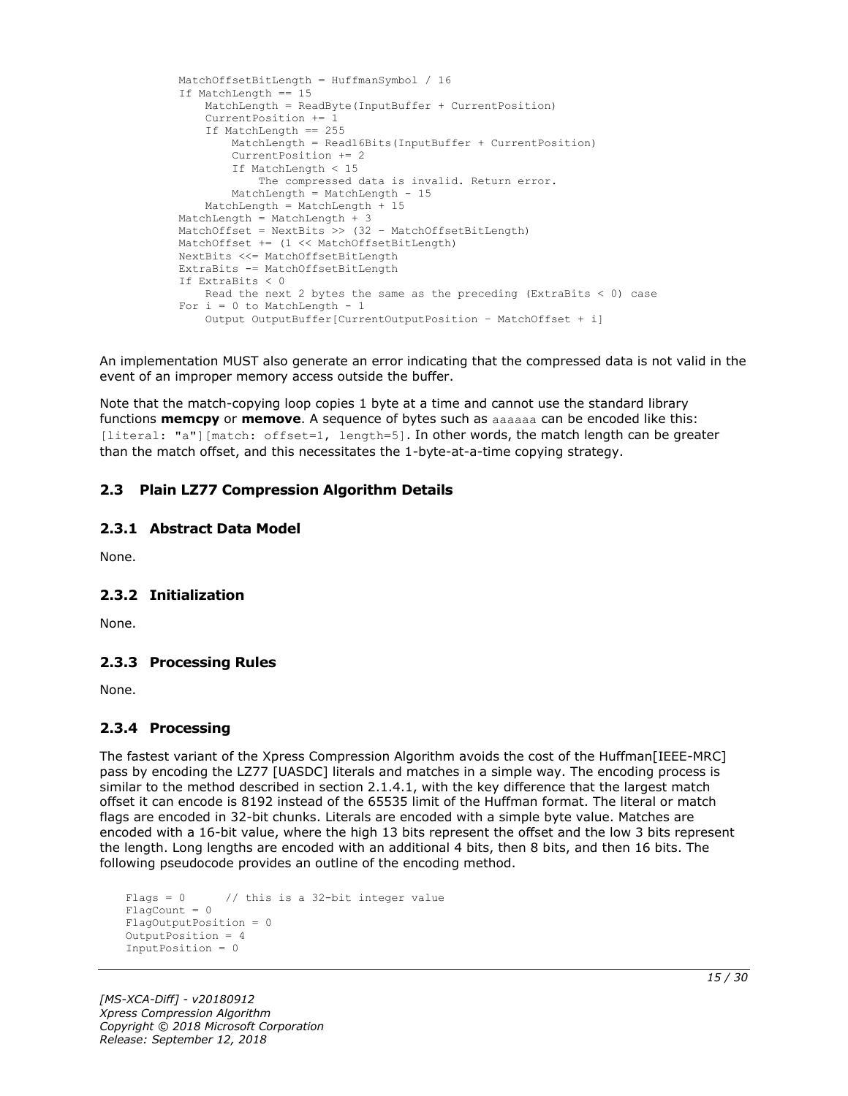```
 MatchOffsetBitLength = HuffmanSymbol / 16
 If MatchLength == 15
    MatchLength = ReadByte(InputBuffer + CurrentPosition)
     CurrentPosition += 1
     If MatchLength == 255
        MatchLength = Read16Bits(InputBuffer + CurrentPosition)
         CurrentPosition += 2
        If MatchLength < 15
             The compressed data is invalid. Return error.
        MatchLength = MatchLength - 15
     MatchLength = MatchLength + 15
 MatchLength = MatchLength + 3
 MatchOffset = NextBits >> (32 – MatchOffsetBitLength)
 MatchOffset += (1 << MatchOffsetBitLength)
 NextBits <<= MatchOffsetBitLength
 ExtraBits -= MatchOffsetBitLength
 If ExtraBits < 0
   Read the next 2 bytes the same as the preceding (ExtraBits \leq 0) case
For i = 0 to MatchLength - 1
     Output OutputBuffer[CurrentOutputPosition – MatchOffset + i]
```
An implementation MUST also generate an error indicating that the compressed data is not valid in the event of an improper memory access outside the buffer.

Note that the match-copying loop copies 1 byte at a time and cannot use the standard library functions **memcpy** or **memove**. A sequence of bytes such as aaaaaa can be encoded like this: [literal: "a"][match: offset=1, length=5]. In other words, the match length can be greater than the match offset, and this necessitates the 1-byte-at-a-time copying strategy.

# <span id="page-14-0"></span>**2.3 Plain LZ77 Compression Algorithm Details**

#### <span id="page-14-1"></span>**2.3.1 Abstract Data Model**

None.

#### <span id="page-14-2"></span>**2.3.2 Initialization**

None.

#### <span id="page-14-3"></span>**2.3.3 Processing Rules**

None.

#### <span id="page-14-4"></span>**2.3.4 Processing**

The fastest variant of the Xpress Compression Algorithm avoids the cost of the Huffman[IEEE-MRC] pass by encoding the LZ77 [UASDC] literals and matches in a simple way. The encoding process is similar to the method described in section 2.1.4.1, with the key difference that the largest match offset it can encode is 8192 instead of the 65535 limit of the Huffman format. The literal or match flags are encoded in 32-bit chunks. Literals are encoded with a simple byte value. Matches are encoded with a 16-bit value, where the high 13 bits represent the offset and the low 3 bits represent the length. Long lengths are encoded with an additional 4 bits, then 8 bits, and then 16 bits. The following pseudocode provides an outline of the encoding method.

```
Flags = 0 // this is a 32-bit integer value
FlaqCount = 0FlagOutputPosition = 0
OutputPosition = 4
InputPosition = 0
```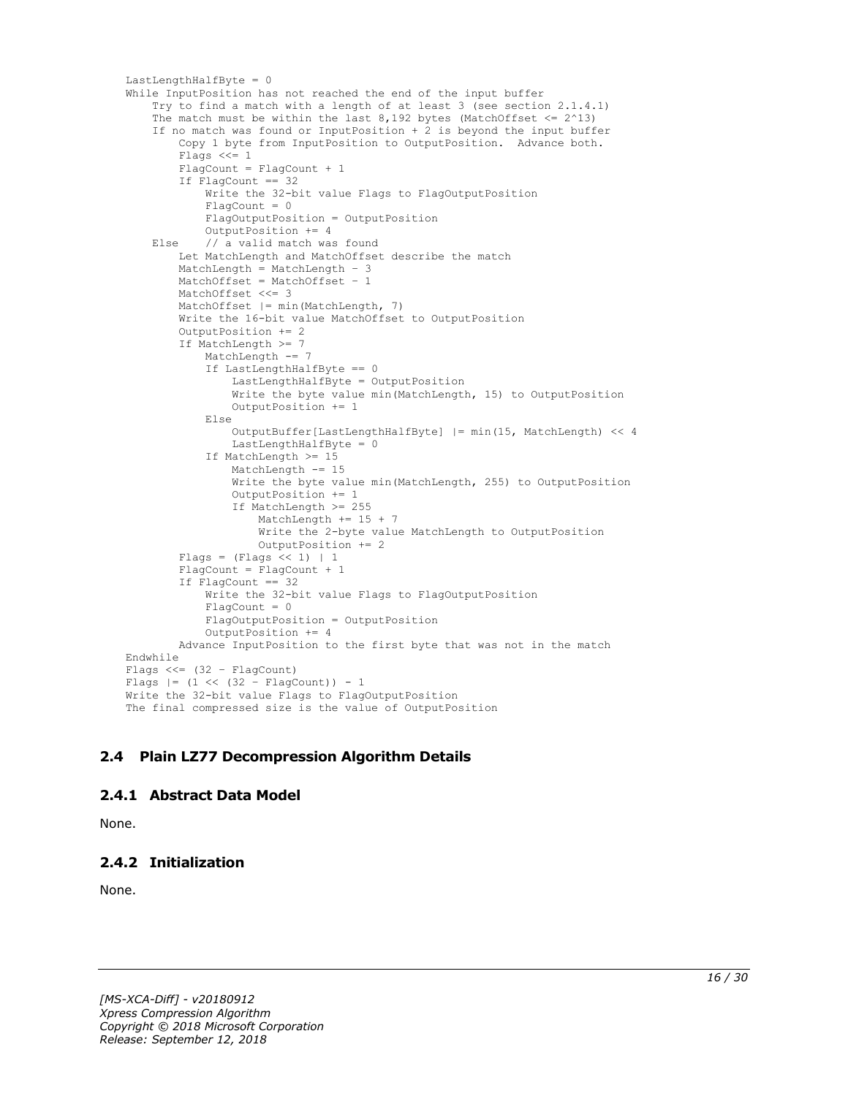```
LastLengthHalfByte = 0
While InputPosition has not reached the end of the input buffer
     Try to find a match with a length of at least 3 (see section 2.1.4.1)
    The match must be within the last 8,192 bytes (MatchOffset \leq 2^13)
     If no match was found or InputPosition + 2 is beyond the input buffer
         Copy 1 byte from InputPosition to OutputPosition. Advance both.
        Flags <<= 1FlagCount = FlagCount + 1
         If FlagCount == 32
             Write the 32-bit value Flags to FlagOutputPosition
            Fla<sub>q</sub>Count = 0 FlagOutputPosition = OutputPosition
             OutputPosition += 4
     Else // a valid match was found
         Let MatchLength and MatchOffset describe the match
         MatchLength = MatchLength – 3
         MatchOffset = MatchOffset – 1
        MatchOffset <<= 3
         MatchOffset |= min(MatchLength, 7)
         Write the 16-bit value MatchOffset to OutputPosition
         OutputPosition += 2
         If MatchLength >= 7
             MatchLength -= 7
             If LastLengthHalfByte == 0
                 LastLengthHalfByte = OutputPosition
                 Write the byte value min(MatchLength, 15) to OutputPosition
                OutputPosition += 1
             Else
                 OutputBuffer[LastLengthHalfByte] |= min(15, MatchLength) << 4
                LastLengthHalfByte = 0 If MatchLength >= 15
                 MatchLength -= 15
                 Write the byte value min(MatchLength, 255) to OutputPosition
                 OutputPosition += 1
                If MatchLength >= 255
                     MatchLength += 15 + 7
                    Write the 2-byte value MatchLength to OutputPosition
                     OutputPosition += 2
        Flags = (Flags << 1) | 1
         FlagCount = FlagCount + 1
        If FlagCount == 32 Write the 32-bit value Flags to FlagOutputPosition
            FlaqCount = 0 FlagOutputPosition = OutputPosition
             OutputPosition += 4
         Advance InputPosition to the first byte that was not in the match
Endwhile
Flags <<= (32 – FlagCount)
Flags |= (1 \lt\lt (32 - \text{FlagCount})) - 1Write the 32-bit value Flags to FlagOutputPosition
The final compressed size is the value of OutputPosition
```
# <span id="page-15-0"></span>**2.4 Plain LZ77 Decompression Algorithm Details**

#### <span id="page-15-1"></span>**2.4.1 Abstract Data Model**

None.

# <span id="page-15-2"></span>**2.4.2 Initialization**

None.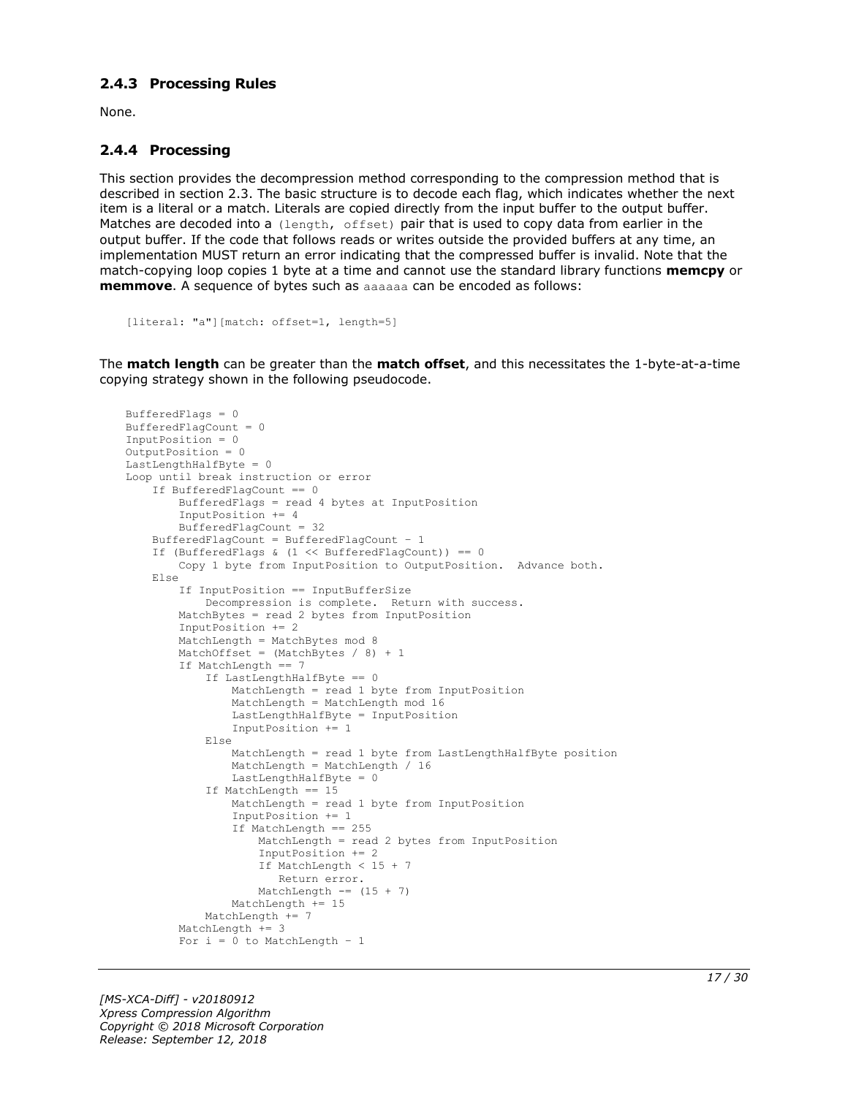#### <span id="page-16-0"></span>**2.4.3 Processing Rules**

None.

### <span id="page-16-1"></span>**2.4.4 Processing**

This section provides the decompression method corresponding to the compression method that is described in section 2.3. The basic structure is to decode each flag, which indicates whether the next item is a literal or a match. Literals are copied directly from the input buffer to the output buffer. Matches are decoded into a (length, offset) pair that is used to copy data from earlier in the output buffer. If the code that follows reads or writes outside the provided buffers at any time, an implementation MUST return an error indicating that the compressed buffer is invalid. Note that the match-copying loop copies 1 byte at a time and cannot use the standard library functions **memcpy** or **memmove**. A sequence of bytes such as aaaaaa can be encoded as follows:

```
[literal: "a"][match: offset=1, length=5]
```
The **match length** can be greater than the **match offset**, and this necessitates the 1-byte-at-a-time copying strategy shown in the following pseudocode.

```
BufferedFlags = 0
BufferedFlagCount = 0
InputPosition = 0
OutputPosition = 0
LastLengthHalfByte = 0
Loop until break instruction or error
     If BufferedFlagCount == 0
         BufferedFlags = read 4 bytes at InputPosition
         InputPosition += 4
         BufferedFlagCount = 32
     BufferedFlagCount = BufferedFlagCount – 1
     If (BufferedFlags & (1 << BufferedFlagCount)) == 0
         Copy 1 byte from InputPosition to OutputPosition. Advance both.
     Else
         If InputPosition == InputBufferSize
             Decompression is complete. Return with success.
         MatchBytes = read 2 bytes from InputPosition
         InputPosition += 2
         MatchLength = MatchBytes mod 8
        MatchOffset = (MatchBytes / 8) + 1 If MatchLength == 7
             If LastLengthHalfByte == 0
                 MatchLength = read 1 byte from InputPosition
                MatchLength = MatchLength mod 16
                 LastLengthHalfByte = InputPosition
                InputPosition += 1
             Else
                 MatchLength = read 1 byte from LastLengthHalfByte position
                MatchLength = MatchLength / 16
                 LastLengthHalfByte = 0
             If MatchLength == 15
                 MatchLength = read 1 byte from InputPosition
                 InputPosition += 1
                 If MatchLength == 255
                     MatchLength = read 2 bytes from InputPosition
                    InputPosition += 2
                    If MatchLength < 15 + 7
                       Return error.
                    MatchLength == (15 + 7)
                Mathenath += 15 MatchLength += 7
         MatchLength += 3
        For i = 0 to MatchLength - 1
```
*[MS-XCA-Diff] - v20180912 Xpress Compression Algorithm Copyright © 2018 Microsoft Corporation Release: September 12, 2018*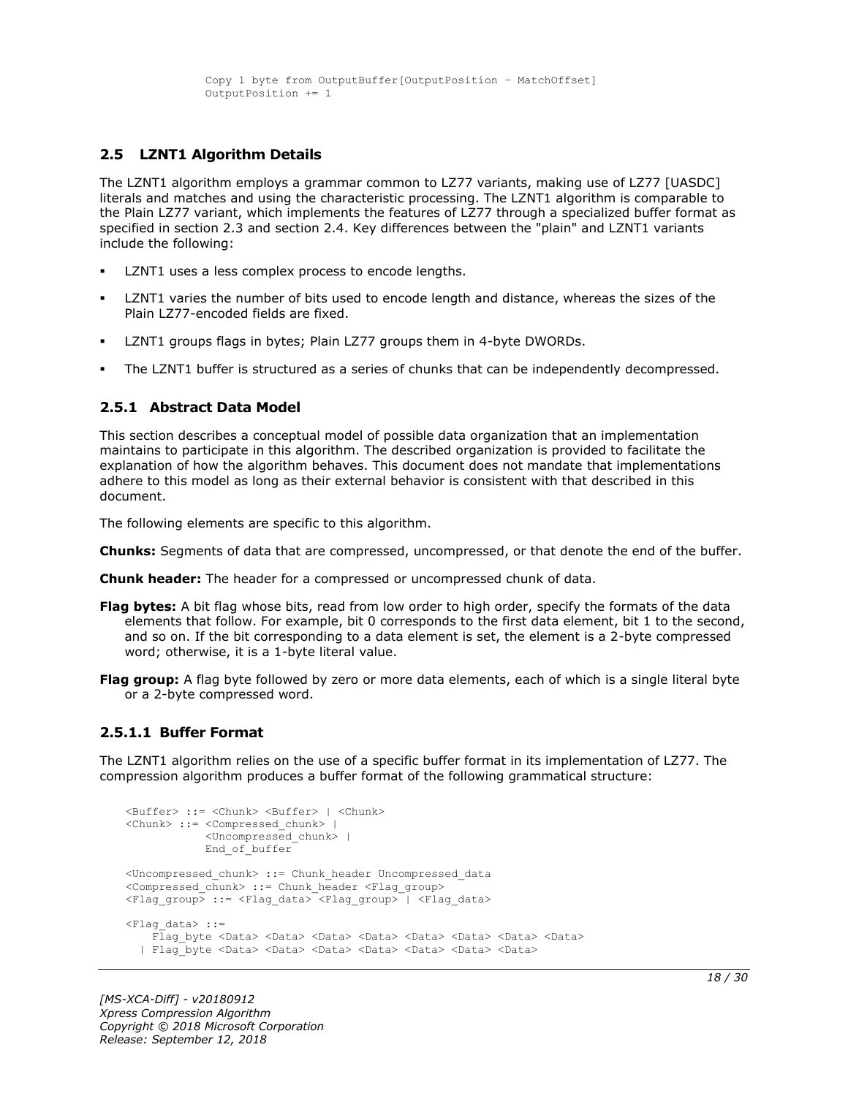#### <span id="page-17-0"></span>**2.5 LZNT1 Algorithm Details**

The LZNT1 algorithm employs a grammar common to LZ77 variants, making use of LZ77 [UASDC] literals and matches and using the characteristic processing. The LZNT1 algorithm is comparable to the Plain LZ77 variant, which implements the features of LZ77 through a specialized buffer format as specified in section 2.3 and section 2.4. Key differences between the "plain" and LZNT1 variants include the following:

- LZNT1 uses a less complex process to encode lengths.
- LZNT1 varies the number of bits used to encode length and distance, whereas the sizes of the Plain LZ77-encoded fields are fixed.
- LZNT1 groups flags in bytes; Plain LZ77 groups them in 4-byte DWORDs.
- The LZNT1 buffer is structured as a series of chunks that can be independently decompressed.

#### <span id="page-17-1"></span>**2.5.1 Abstract Data Model**

This section describes a conceptual model of possible data organization that an implementation maintains to participate in this algorithm. The described organization is provided to facilitate the explanation of how the algorithm behaves. This document does not mandate that implementations adhere to this model as long as their external behavior is consistent with that described in this document.

The following elements are specific to this algorithm.

**Chunks:** Segments of data that are compressed, uncompressed, or that denote the end of the buffer.

**Chunk header:** The header for a compressed or uncompressed chunk of data.

- **Flag bytes:** A bit flag whose bits, read from low order to high order, specify the formats of the data elements that follow. For example, bit 0 corresponds to the first data element, bit 1 to the second, and so on. If the bit corresponding to a data element is set, the element is a 2-byte compressed word; otherwise, it is a 1-byte literal value.
- **Flag group:** A flag byte followed by zero or more data elements, each of which is a single literal byte or a 2-byte compressed word.

#### <span id="page-17-2"></span>**2.5.1.1 Buffer Format**

The LZNT1 algorithm relies on the use of a specific buffer format in its implementation of LZ77. The compression algorithm produces a buffer format of the following grammatical structure:

```
<Buffer> ::= <Chunk> <Buffer> | <Chunk>
<Chunk> ::= <Compressed_chunk> | 
             <Uncompressed_chunk> |
             End of buffer
<Uncompressed_chunk> ::= Chunk_header Uncompressed_data
<Compressed_chunk> ::= Chunk_header <Flag_group>
<Flag group> ::= <Flag data> <Flag group> | <Flag data>
<Flag_data> ::=
    Flag byte <Data> <Data> <Data> <Data> <Data> <Data> <Data> <Data> <Data> <Data> <Data> <Data> <Data
   | Flag_byte <Data> <Data> <Data> <Data> <Data> <Data> <Data>
```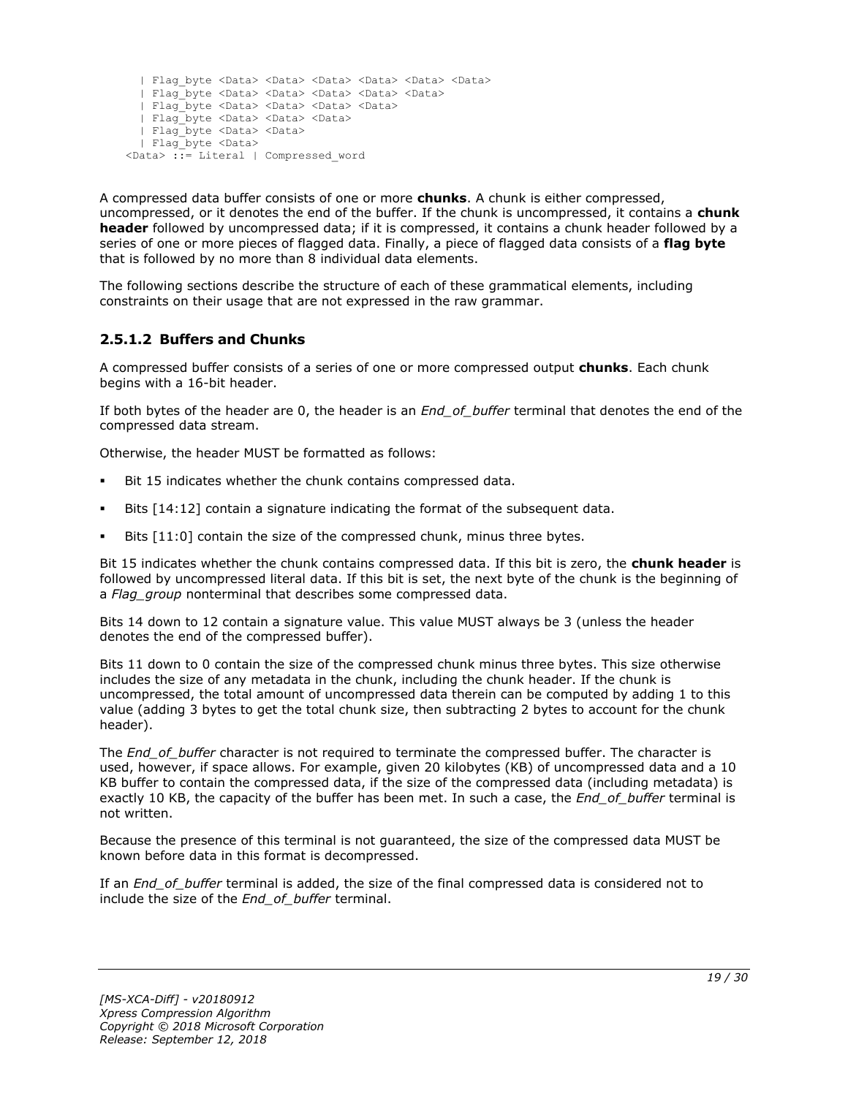```
 | Flag_byte <Data> <Data> <Data> <Data> <Data> <Data>
  | Flag_byte <Data> <Data> <Data> <Data> <Data>
  | Flag_byte <Data> <Data> <Data> <Data>
  | Flag_byte <Data> <Data> <Data> 
  | Flag_byte <Data> <Data>
  | Flag_byte <Data> 
<Data> ::= Literal | Compressed_word
```
A compressed data buffer consists of one or more **chunks**. A chunk is either compressed, uncompressed, or it denotes the end of the buffer. If the chunk is uncompressed, it contains a **chunk header** followed by uncompressed data; if it is compressed, it contains a chunk header followed by a series of one or more pieces of flagged data. Finally, a piece of flagged data consists of a **flag byte** that is followed by no more than 8 individual data elements.

The following sections describe the structure of each of these grammatical elements, including constraints on their usage that are not expressed in the raw grammar.

# <span id="page-18-0"></span>**2.5.1.2 Buffers and Chunks**

A compressed buffer consists of a series of one or more compressed output **chunks**. Each chunk begins with a 16-bit header.

If both bytes of the header are 0, the header is an *End\_of\_buffer* terminal that denotes the end of the compressed data stream.

Otherwise, the header MUST be formatted as follows:

- Bit 15 indicates whether the chunk contains compressed data.
- Bits  $[14:12]$  contain a signature indicating the format of the subsequent data.
- Bits  $[11:0]$  contain the size of the compressed chunk, minus three bytes.

Bit 15 indicates whether the chunk contains compressed data. If this bit is zero, the **chunk header** is followed by uncompressed literal data. If this bit is set, the next byte of the chunk is the beginning of a *Flag\_group* nonterminal that describes some compressed data.

Bits 14 down to 12 contain a signature value. This value MUST always be 3 (unless the header denotes the end of the compressed buffer).

Bits 11 down to 0 contain the size of the compressed chunk minus three bytes. This size otherwise includes the size of any metadata in the chunk, including the chunk header. If the chunk is uncompressed, the total amount of uncompressed data therein can be computed by adding 1 to this value (adding 3 bytes to get the total chunk size, then subtracting 2 bytes to account for the chunk header).

The *End\_of\_buffer* character is not required to terminate the compressed buffer. The character is used, however, if space allows. For example, given 20 kilobytes (KB) of uncompressed data and a 10 KB buffer to contain the compressed data, if the size of the compressed data (including metadata) is exactly 10 KB, the capacity of the buffer has been met. In such a case, the *End\_of\_buffer* terminal is not written.

Because the presence of this terminal is not guaranteed, the size of the compressed data MUST be known before data in this format is decompressed.

If an *End\_of\_buffer* terminal is added, the size of the final compressed data is considered not to include the size of the *End\_of\_buffer* terminal.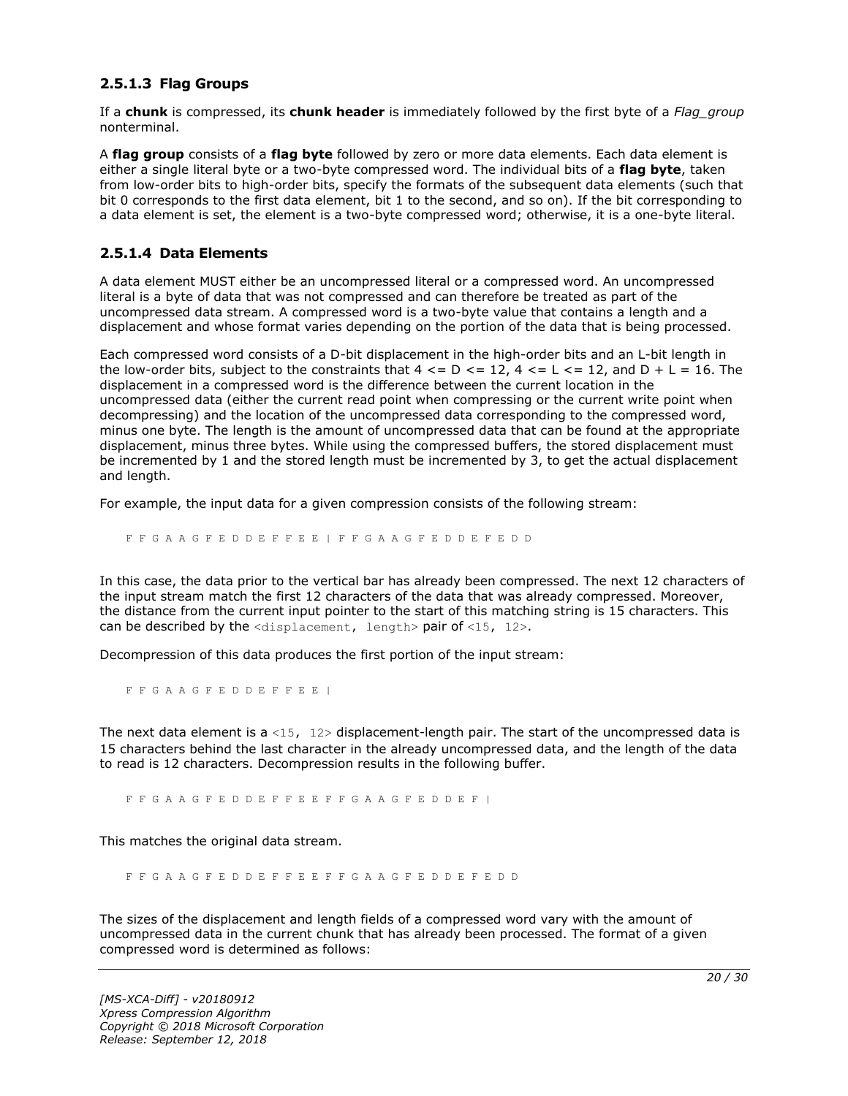### <span id="page-19-0"></span>**2.5.1.3 Flag Groups**

If a **chunk** is compressed, its **chunk header** is immediately followed by the first byte of a *Flag\_group* nonterminal.

A **flag group** consists of a **flag byte** followed by zero or more data elements. Each data element is either a single literal byte or a two-byte compressed word. The individual bits of a **flag byte**, taken from low-order bits to high-order bits, specify the formats of the subsequent data elements (such that bit 0 corresponds to the first data element, bit 1 to the second, and so on). If the bit corresponding to a data element is set, the element is a two-byte compressed word; otherwise, it is a one-byte literal.

#### <span id="page-19-1"></span>**2.5.1.4 Data Elements**

A data element MUST either be an uncompressed literal or a compressed word. An uncompressed literal is a byte of data that was not compressed and can therefore be treated as part of the uncompressed data stream. A compressed word is a two-byte value that contains a length and a displacement and whose format varies depending on the portion of the data that is being processed.

Each compressed word consists of a D-bit displacement in the high-order bits and an L-bit length in the low-order bits, subject to the constraints that  $4 \leq D \leq 12$ ,  $4 \leq L \leq 12$ , and  $D + L = 16$ . The displacement in a compressed word is the difference between the current location in the uncompressed data (either the current read point when compressing or the current write point when decompressing) and the location of the uncompressed data corresponding to the compressed word, minus one byte. The length is the amount of uncompressed data that can be found at the appropriate displacement, minus three bytes. While using the compressed buffers, the stored displacement must be incremented by 1 and the stored length must be incremented by 3, to get the actual displacement and length.

For example, the input data for a given compression consists of the following stream:

F F G A A G F E D D E F F E E | F F G A A G F E D D E F E D D

In this case, the data prior to the vertical bar has already been compressed. The next 12 characters of the input stream match the first 12 characters of the data that was already compressed. Moreover, the distance from the current input pointer to the start of this matching string is 15 characters. This can be described by the  $\langle$ displacement, length> pair of  $\langle$ 15, 12>.

Decompression of this data produces the first portion of the input stream:

F F G A A G F E D D E F F E E |

The next data element is a <15,  $12$  bisplacement-length pair. The start of the uncompressed data is 15 characters behind the last character in the already uncompressed data, and the length of the data to read is 12 characters. Decompression results in the following buffer.

F F G A A G F E D D E F F E E F F G A A G F E D D E F |

This matches the original data stream.

F F G A A G F E D D E F F E E F F G A A G F E D D E F E D D

The sizes of the displacement and length fields of a compressed word vary with the amount of uncompressed data in the current chunk that has already been processed. The format of a given compressed word is determined as follows: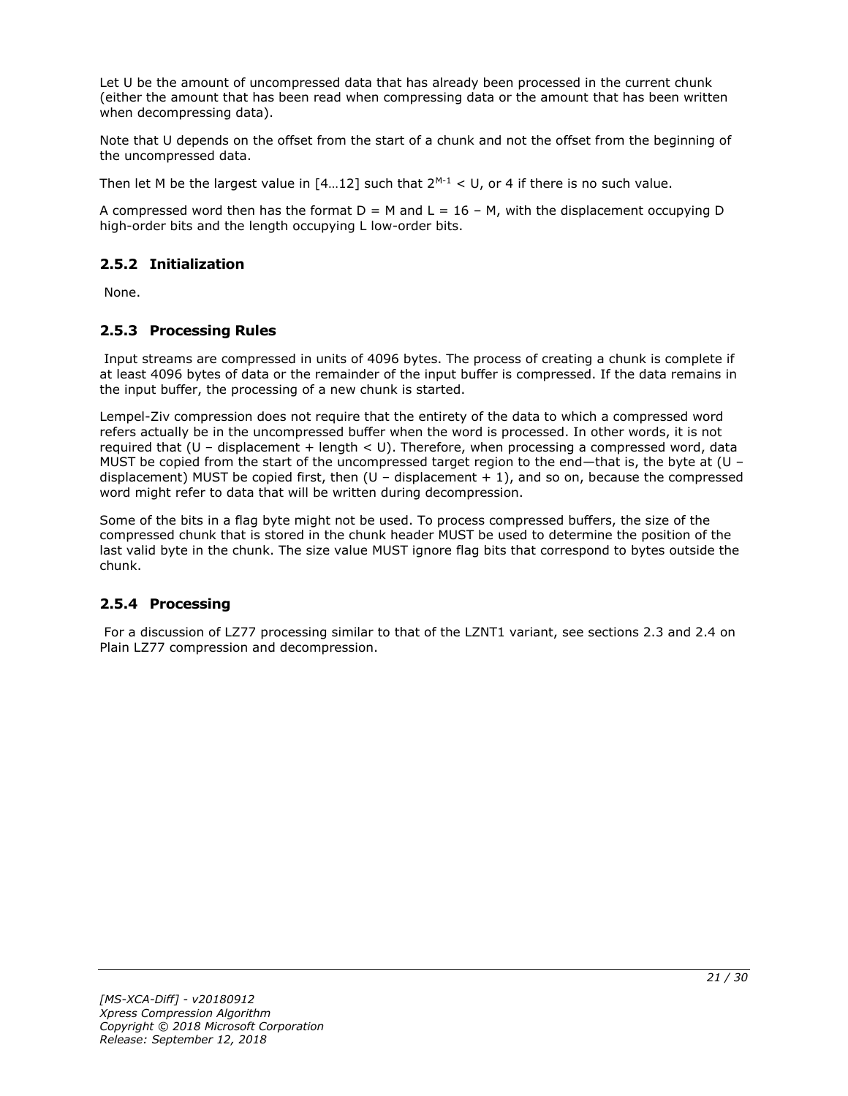Let U be the amount of uncompressed data that has already been processed in the current chunk (either the amount that has been read when compressing data or the amount that has been written when decompressing data).

Note that U depends on the offset from the start of a chunk and not the offset from the beginning of the uncompressed data.

Then let M be the largest value in  $[4...12]$  such that  $2^{M-1} < U$ , or 4 if there is no such value.

A compressed word then has the format  $D = M$  and  $L = 16 - M$ , with the displacement occupying D high-order bits and the length occupying L low-order bits.

### <span id="page-20-0"></span>**2.5.2 Initialization**

None.

### <span id="page-20-1"></span>**2.5.3 Processing Rules**

Input streams are compressed in units of 4096 bytes. The process of creating a chunk is complete if at least 4096 bytes of data or the remainder of the input buffer is compressed. If the data remains in the input buffer, the processing of a new chunk is started.

Lempel-Ziv compression does not require that the entirety of the data to which a compressed word refers actually be in the uncompressed buffer when the word is processed. In other words, it is not required that  $(U -$  displacement + length < U). Therefore, when processing a compressed word, data MUST be copied from the start of the uncompressed target region to the end—that is, the byte at (U – displacement) MUST be copied first, then  $(U -$  displacement  $+ 1)$ , and so on, because the compressed word might refer to data that will be written during decompression.

Some of the bits in a flag byte might not be used. To process compressed buffers, the size of the compressed chunk that is stored in the chunk header MUST be used to determine the position of the last valid byte in the chunk. The size value MUST ignore flag bits that correspond to bytes outside the chunk.

#### <span id="page-20-2"></span>**2.5.4 Processing**

For a discussion of LZ77 processing similar to that of the LZNT1 variant, see sections 2.3 and 2.4 on Plain LZ77 compression and decompression.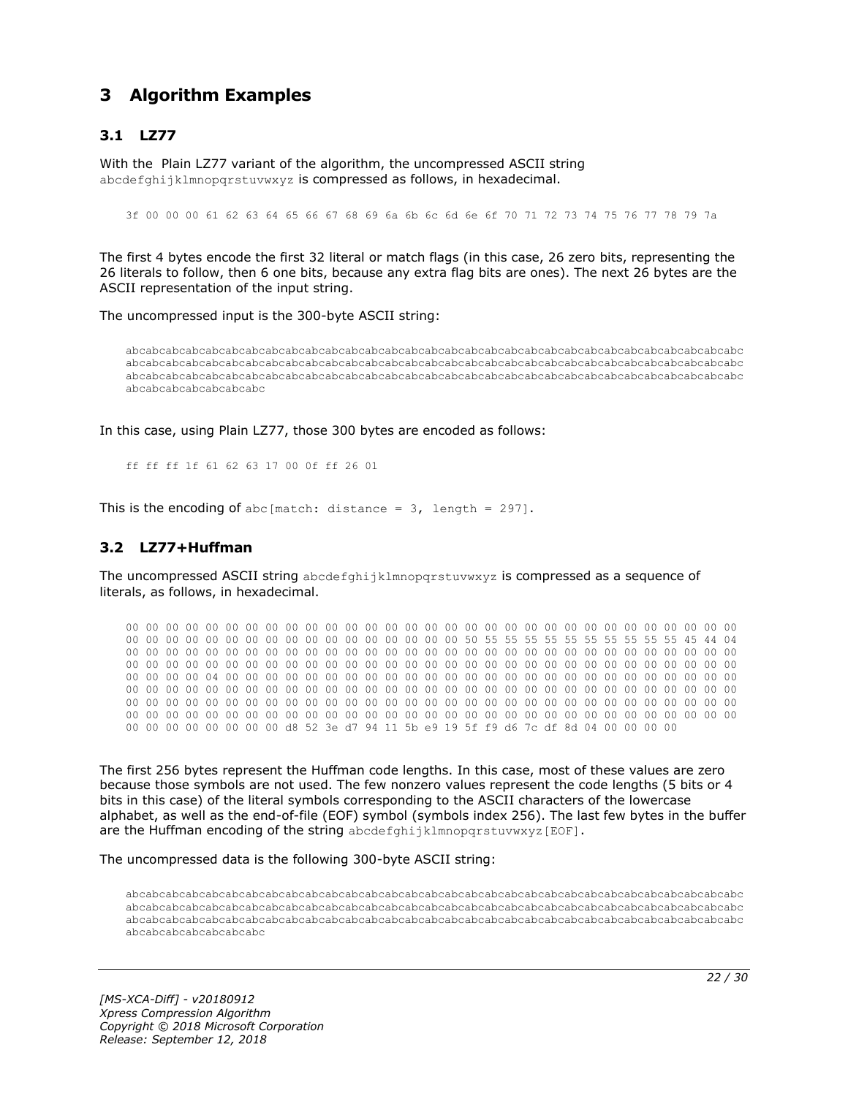# <span id="page-21-0"></span>**3 Algorithm Examples**

# <span id="page-21-1"></span>**3.1 LZ77**

With the Plain LZ77 variant of the algorithm, the uncompressed ASCII string abcdefghijklmnopgrstuvwxyz is compressed as follows, in hexadecimal.

3f 00 00 00 61 62 63 64 65 66 67 68 69 6a 6b 6c 6d 6e 6f 70 71 72 73 74 75 76 77 78 79 7a

The first 4 bytes encode the first 32 literal or match flags (in this case, 26 zero bits, representing the 26 literals to follow, then 6 one bits, because any extra flag bits are ones). The next 26 bytes are the ASCII representation of the input string.

The uncompressed input is the 300-byte ASCII string:

abcabcabcabcabcabcabcabcabcabcabcabcabcabcabcabcabcabcabcabcabcabcabcabcabcabcabcabcabcabcabc abcabcabcabcabcabcabcabcabcabcabcabcabcabcabcabcabcabcabcabcabcabcabcabcabcabcabcabcabcabcabc abcabcabcabcabcabcabcabcabcabcabcabcabcabcabcabcabcabcabcabcabcabcabcabcabcabcabcabcabcabcabc abcabcabcabcabcabcabc

In this case, using Plain LZ77, those 300 bytes are encoded as follows:

ff ff ff 1f 61 62 63 17 00 0f ff 26 01

This is the encoding of abc [match: distance =  $3$ , length = 297].

#### <span id="page-21-2"></span>**3.2 LZ77+Huffman**

The uncompressed ASCII string abcdefghijklmnopqrstuvwxyz is compressed as a sequence of literals, as follows, in hexadecimal.

00 00 00 00 00 00 00 00 00 00 00 00 00 00 00 00 00 00 00 00 00 00 00 00 00 00 00 00 00 00 00 00 00 00 00 00 00 00 00 00 00 00 00 00 00 00 00 00 50 55 55 55 55 55 55 55 55 55 55 45 44 04 00 00 00 00 00 00 00 00 00 00 00 00 00 00 00 00 00 00 00 00 00 00 00 00 00 00 00 00 00 00 00 00 00 00 00 00 00 00 00 00 00 00 00 00 00 00 00 00 00 00 00 00 00 00 00 00 00 00 00 00 00 00 00 00 00 00 04 00 00 00 00 00 00 00 00 00 00 00 00 00 00 00 00 00 00 00 00 00 00 00 00 00 00 00 00 00 00 00 00 00 00 00 00 00 00 00 00 00 00 00 00 00 00 00 00 00 00 00 00 00 00 00 00 00 00 00 00 00 00 00 00 00 00 00 00 00 00 00 00 00 00 00 00 00 00 00 00 00 00 00 00 00 00 00 00 00 00 00 00 00 00 00 00 00 00 00 00 00 00 00 00 00 00 00 00 00 00 00 00 00 00 00 00 00 00 00 00 00 00 00 00 00 00 00 d8 52 3e d7 94 11 5b e9 19 5f f9 d6 7c df 8d 04 00 00 00 00

The first 256 bytes represent the Huffman code lengths. In this case, most of these values are zero because those symbols are not used. The few nonzero values represent the code lengths (5 bits or 4 bits in this case) of the literal symbols corresponding to the ASCII characters of the lowercase alphabet, as well as the end-of-file (EOF) symbol (symbols index 256). The last few bytes in the buffer are the Huffman encoding of the string abcdefghijklmnopqrstuvwxyz[EOF].

The uncompressed data is the following 300-byte ASCII string:

abcabcabcabcabcabcabcabcabcabcabcabcabcabcabcabcabcabcabcabcabcabcabcabcabcabcabcabcabcabcabc abcabcabcabcabcabcabcabcabcabcabcabcabcabcabcabcabcabcabcabcabcabcabcabcabcabcabcabcabcabcabc abcabcabcabcabcabcabcabcabcabcabcabcabcabcabcabcabcabcabcabcabcabcabcabcabcabcabcabcabcabcabc abcabcabcabcabcabcabc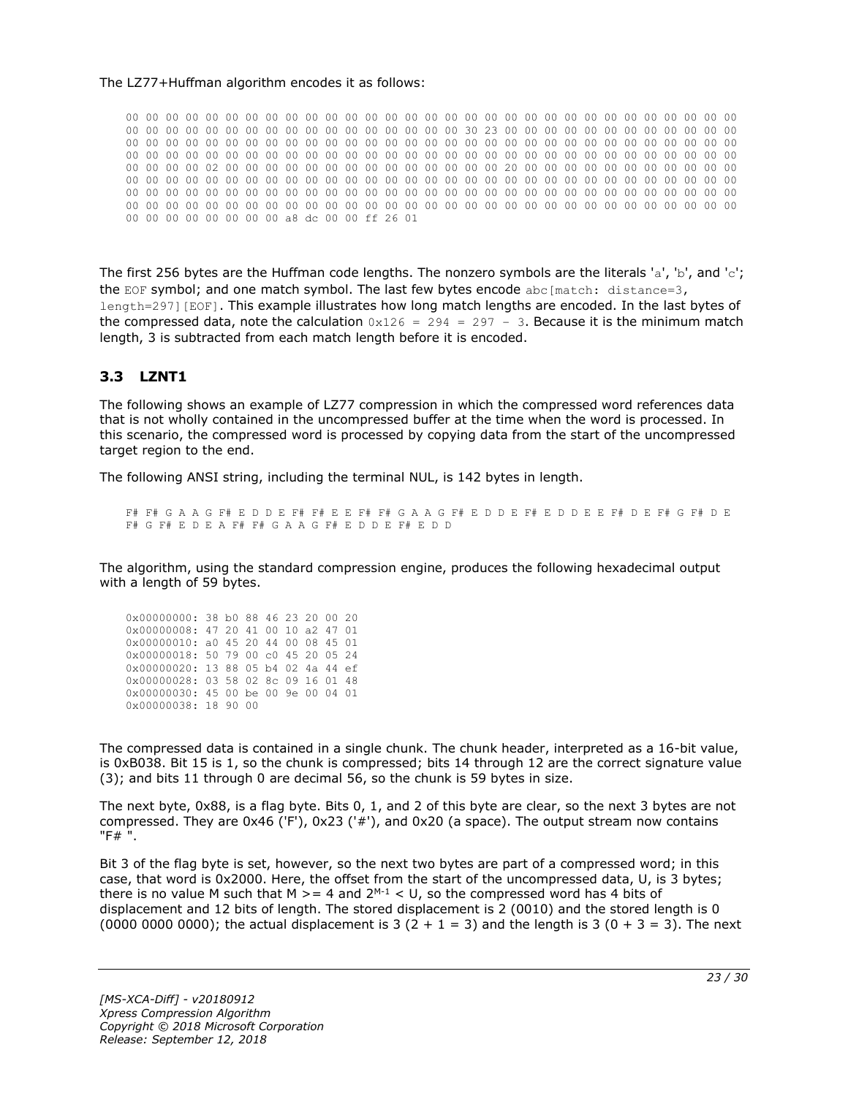#### The LZ77+Huffman algorithm encodes it as follows:

00 00 00 00 00 00 00 00 00 00 00 00 00 00 00 00 00 00 00 00 00 00 00 00 00 00 00 00 00 00 00 00 00 00 00 00 00 00 00 00 00 00 00 00 00 00 00 00 30 23 00 00 00 00 00 00 00 00 00 00 00 00 00 00 00 00 00 00 00 00 00 00 00 00 00 00 00 00 00 00 00 00 00 00 00 00 00 00 00 00 00 00 00 00 00 00 00 00 00 00 00 00 00 00 00 00 00 00 00 00 00 00 00 00 00 00 00 00 00 00 00 00 00 00 00 00 00 00 02 00 00 00 00 00 00 00 00 00 00 00 00 00 00 20 00 00 00 00 00 00 00 00 00 00 00 00 00 00 00 00 00 00 00 00 00 00 00 00 00 00 00 00 00 00 00 00 00 00 00 00 00 00 00 00 00 00 00 00 00 00 00 00 00 00 00 00 00 00 00 00 00 00 00 00 00 00 00 00 00 00 00 00 00 00 00 00 00 00 00 00 00 00 00 00 00 00 00 00 00 00 00 00 00 00 00 00 00 00 00 00 00 00 00 00 00 00 00 00 00 00 00 00 00 00 00 00 a8 dc 00 00 ff 26 01

The first 256 bytes are the Huffman code lengths. The nonzero symbols are the literals 'a', 'b', and 'c'; the EOF symbol; and one match symbol. The last few bytes encode  $abc[match: distance=3,$ length=297][EOF]. This example illustrates how long match lengths are encoded. In the last bytes of the compressed data, note the calculation  $0x126 = 294 = 297 - 3$ . Because it is the minimum match length, 3 is subtracted from each match length before it is encoded.

#### <span id="page-22-0"></span>**3.3 LZNT1**

The following shows an example of LZ77 compression in which the compressed word references data that is not wholly contained in the uncompressed buffer at the time when the word is processed. In this scenario, the compressed word is processed by copying data from the start of the uncompressed target region to the end.

The following ANSI string, including the terminal NUL, is 142 bytes in length.

F# F# G A A G F# E D D E F# F# E E F# F# G A A G F# E D D E F# E D D E E F# D E F# G F# D E F# G F# E D E A F# F# G A A G F# E D D E F# E D D

The algorithm, using the standard compression engine, produces the following hexadecimal output with a length of 59 bytes.

| 0x00000000: 38 b0 88 46 23 20 00 20 |  |  |  |  |
|-------------------------------------|--|--|--|--|
| 0x00000008: 47 20 41 00 10 a2 47 01 |  |  |  |  |
| 0x00000010: a0 45 20 44 00 08 45 01 |  |  |  |  |
| 0x00000018: 50 79 00 c0 45 20 05 24 |  |  |  |  |
|                                     |  |  |  |  |
| 0x00000020: 13 88 05 b4 02 4a 44 ef |  |  |  |  |
| 0x00000028: 03 58 02 8c 09 16 01 48 |  |  |  |  |
| 0x00000030: 45 00 be 00 9e 00 04 01 |  |  |  |  |

The compressed data is contained in a single chunk. The chunk header, interpreted as a 16-bit value, is 0xB038. Bit 15 is 1, so the chunk is compressed; bits 14 through 12 are the correct signature value (3); and bits 11 through 0 are decimal 56, so the chunk is 59 bytes in size.

The next byte, 0x88, is a flag byte. Bits 0, 1, and 2 of this byte are clear, so the next 3 bytes are not compressed. They are 0x46 ('F'), 0x23 ('#'), and 0x20 (a space). The output stream now contains "F# ".

Bit 3 of the flag byte is set, however, so the next two bytes are part of a compressed word; in this case, that word is 0x2000. Here, the offset from the start of the uncompressed data, U, is 3 bytes; there is no value M such that M  $>= 4$  and  $2^{M-1} < U$ , so the compressed word has 4 bits of displacement and 12 bits of length. The stored displacement is 2 (0010) and the stored length is 0 (0000 0000 0000); the actual displacement is 3 (2 + 1 = 3) and the length is 3 (0 + 3 = 3). The next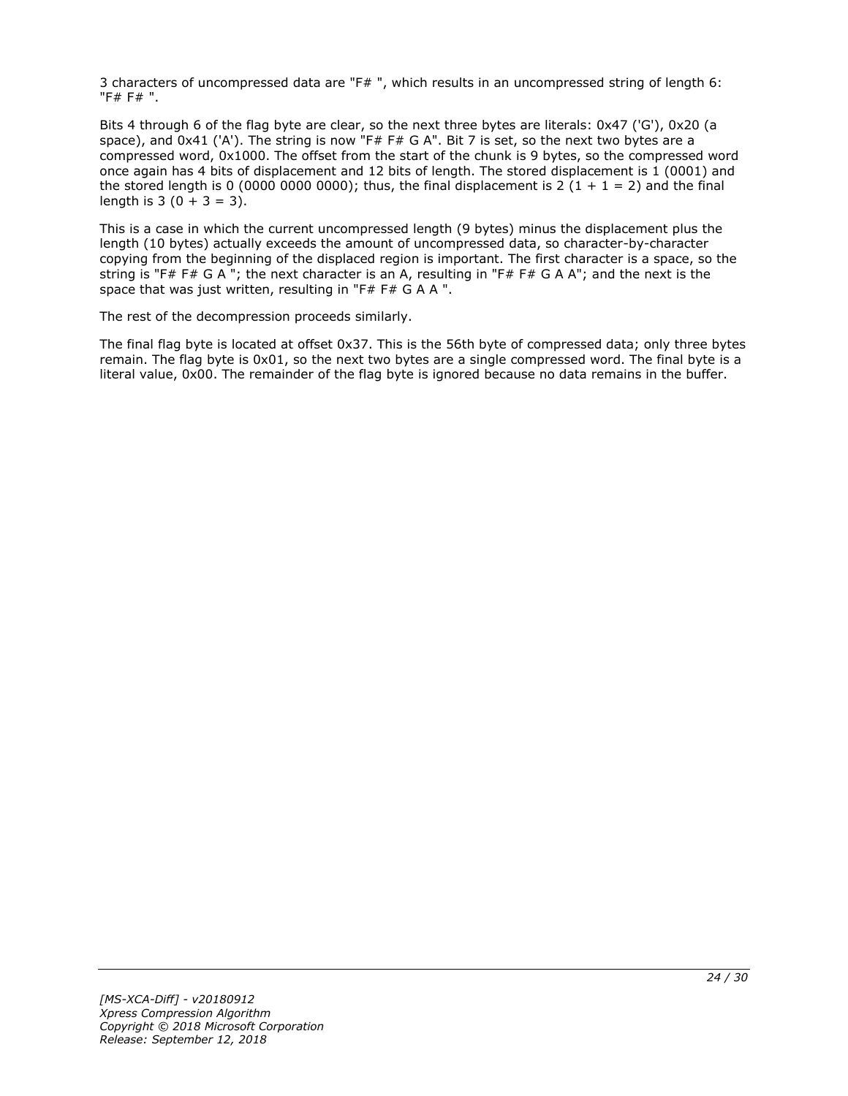3 characters of uncompressed data are "F# ", which results in an uncompressed string of length 6: "F# F# ".

Bits 4 through 6 of the flag byte are clear, so the next three bytes are literals: 0x47 ('G'), 0x20 (a space), and 0x41 ('A'). The string is now "F# F# G A". Bit 7 is set, so the next two bytes are a compressed word, 0x1000. The offset from the start of the chunk is 9 bytes, so the compressed word once again has 4 bits of displacement and 12 bits of length. The stored displacement is 1 (0001) and the stored length is 0 (0000 0000 0000); thus, the final displacement is 2 (1 + 1 = 2) and the final length is  $3(0 + 3 = 3)$ .

This is a case in which the current uncompressed length (9 bytes) minus the displacement plus the length (10 bytes) actually exceeds the amount of uncompressed data, so character-by-character copying from the beginning of the displaced region is important. The first character is a space, so the string is "F# F# G A "; the next character is an A, resulting in "F# F# G A A"; and the next is the space that was just written, resulting in "F# F# G A A ".

The rest of the decompression proceeds similarly.

The final flag byte is located at offset 0x37. This is the 56th byte of compressed data; only three bytes remain. The flag byte is 0x01, so the next two bytes are a single compressed word. The final byte is a literal value, 0x00. The remainder of the flag byte is ignored because no data remains in the buffer.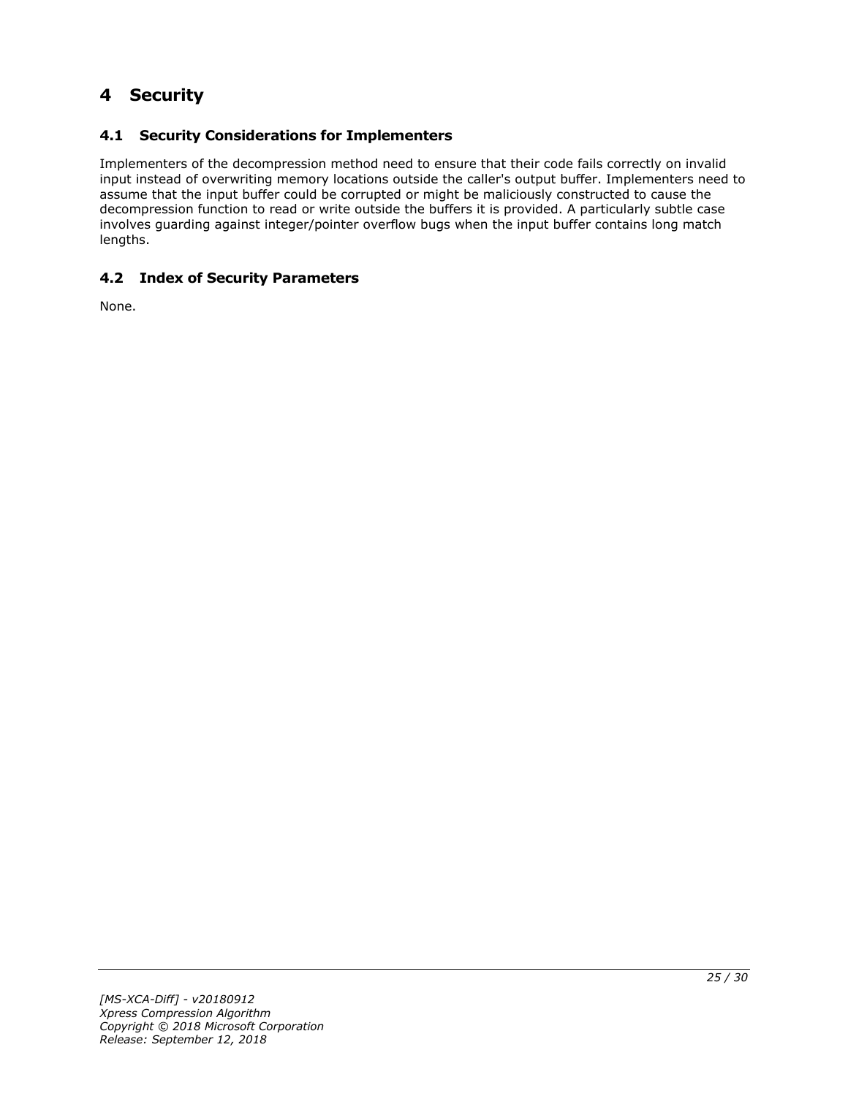# <span id="page-24-0"></span>**4 Security**

# <span id="page-24-1"></span>**4.1 Security Considerations for Implementers**

Implementers of the decompression method need to ensure that their code fails correctly on invalid input instead of overwriting memory locations outside the caller's output buffer. Implementers need to assume that the input buffer could be corrupted or might be maliciously constructed to cause the decompression function to read or write outside the buffers it is provided. A particularly subtle case involves guarding against integer/pointer overflow bugs when the input buffer contains long match lengths.

# <span id="page-24-2"></span>**4.2 Index of Security Parameters**

None.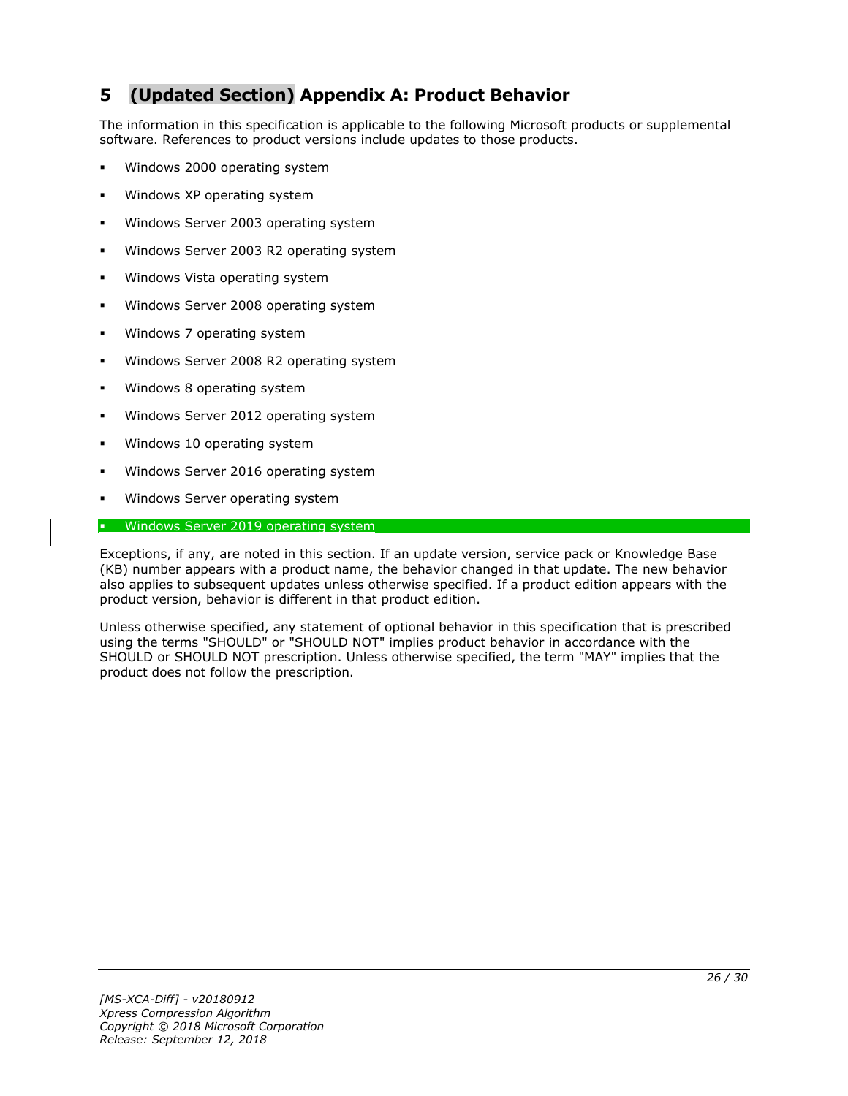# <span id="page-25-0"></span>**5 (Updated Section) Appendix A: Product Behavior**

The information in this specification is applicable to the following Microsoft products or supplemental software. References to product versions include updates to those products.

- Windows 2000 operating system
- Windows XP operating system
- Windows Server 2003 operating system
- Windows Server 2003 R2 operating system
- Windows Vista operating system
- Windows Server 2008 operating system
- Windows 7 operating system
- Windows Server 2008 R2 operating system
- Windows 8 operating system
- Windows Server 2012 operating system
- Windows 10 operating system
- Windows Server 2016 operating system
- Windows Server operating system

#### Windows Server 2019 operating system

Exceptions, if any, are noted in this section. If an update version, service pack or Knowledge Base (KB) number appears with a product name, the behavior changed in that update. The new behavior also applies to subsequent updates unless otherwise specified. If a product edition appears with the product version, behavior is different in that product edition.

Unless otherwise specified, any statement of optional behavior in this specification that is prescribed using the terms "SHOULD" or "SHOULD NOT" implies product behavior in accordance with the SHOULD or SHOULD NOT prescription. Unless otherwise specified, the term "MAY" implies that the product does not follow the prescription.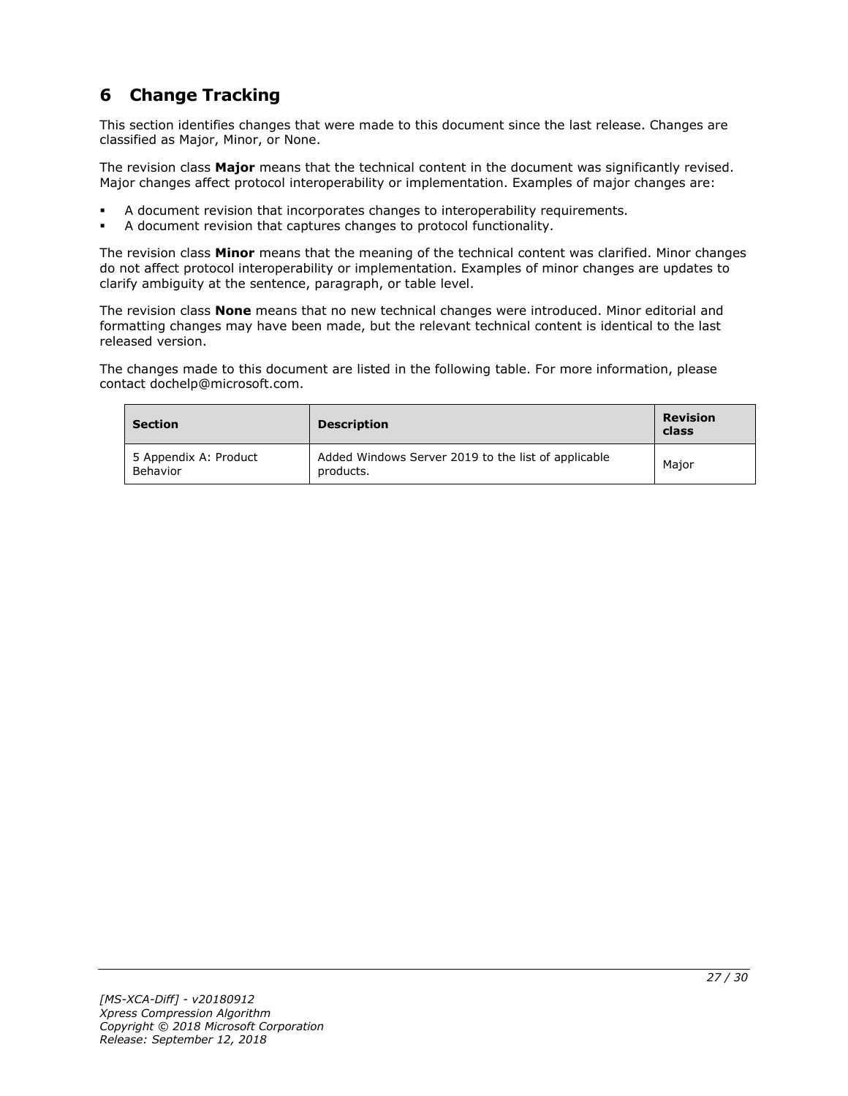# <span id="page-26-0"></span>**6 Change Tracking**

This section identifies changes that were made to this document since the last release. Changes are classified as Major, Minor, or None.

The revision class **Major** means that the technical content in the document was significantly revised. Major changes affect protocol interoperability or implementation. Examples of major changes are:

- A document revision that incorporates changes to interoperability requirements.
- A document revision that captures changes to protocol functionality.

The revision class **Minor** means that the meaning of the technical content was clarified. Minor changes do not affect protocol interoperability or implementation. Examples of minor changes are updates to clarify ambiguity at the sentence, paragraph, or table level.

The revision class **None** means that no new technical changes were introduced. Minor editorial and formatting changes may have been made, but the relevant technical content is identical to the last released version.

The changes made to this document are listed in the following table. For more information, please contact dochelp@microsoft.com.

| <b>Section</b>                    | <b>Description</b>                                               | <b>Revision</b><br>class |
|-----------------------------------|------------------------------------------------------------------|--------------------------|
| 5 Appendix A: Product<br>Behavior | Added Windows Server 2019 to the list of applicable<br>products. | Maior                    |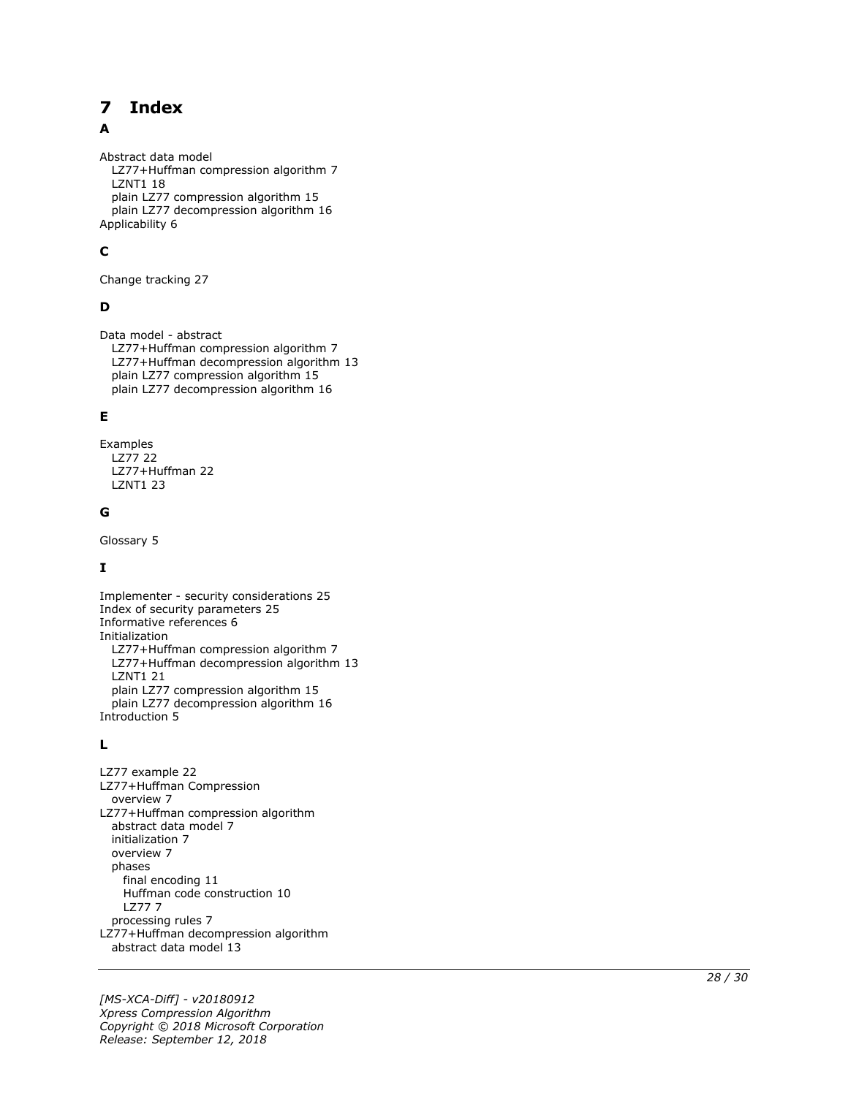#### <span id="page-27-0"></span>**Index**  $\overline{\mathbf{z}}$

### A

Abstract data model LZ77+Huffman compression algorithm 7 LZNT1 18 plain LZ77 compression algorithm 15 plain LZ77 decompression algorithm 16 Applicability 6

# **C**

Change tracking 27

# **D**

Data model - abstract LZ77+Huffman compression algorithm 7 LZ77+Huffman decompression algorithm 13 plain LZ77 compression algorithm 15 plain LZ77 decompression algorithm 16

### **E**

Examples LZ77 22 LZ77+Huffman 22 LZNT1 23

### **G**

Glossary 5

# **I**

Implementer - security considerations 25 Index of security parameters 25 Informative references 6 Initialization LZ77+Huffman compression algorithm 7 LZ77+Huffman decompression algorithm 13 LZNT1 21 plain LZ77 compression algorithm 15 plain LZ77 decompression algorithm 16 Introduction 5

#### **L**

**7 Index**<br>
A<br>
Abstract data model<br>
1.277+Huffman compression algo<br>
plain LZ77 compression algo<br>
plain LZ77 decompression a<br>
Applicability 6<br> **C**<br>
Change tracking 27<br> **D**<br>
Data model - abstract<br>
1.277+Huffman decompressio LZ77 example 22 LZ77+Huffman Compression overview 7 LZ77+Huffman compression algorithm abstract data model 7 initialization 7 overview 7 phases final encoding 11 Huffman code construction 10 LZ77 7 processing rules 7 LZ77+Huffman decompression algorithm abstract data model 13

*[MS -XCA -Diff] - v20180912 Xpress Compression Algorithm Copyright © 2018 Microsoft Corporation* Release: September 12, 2018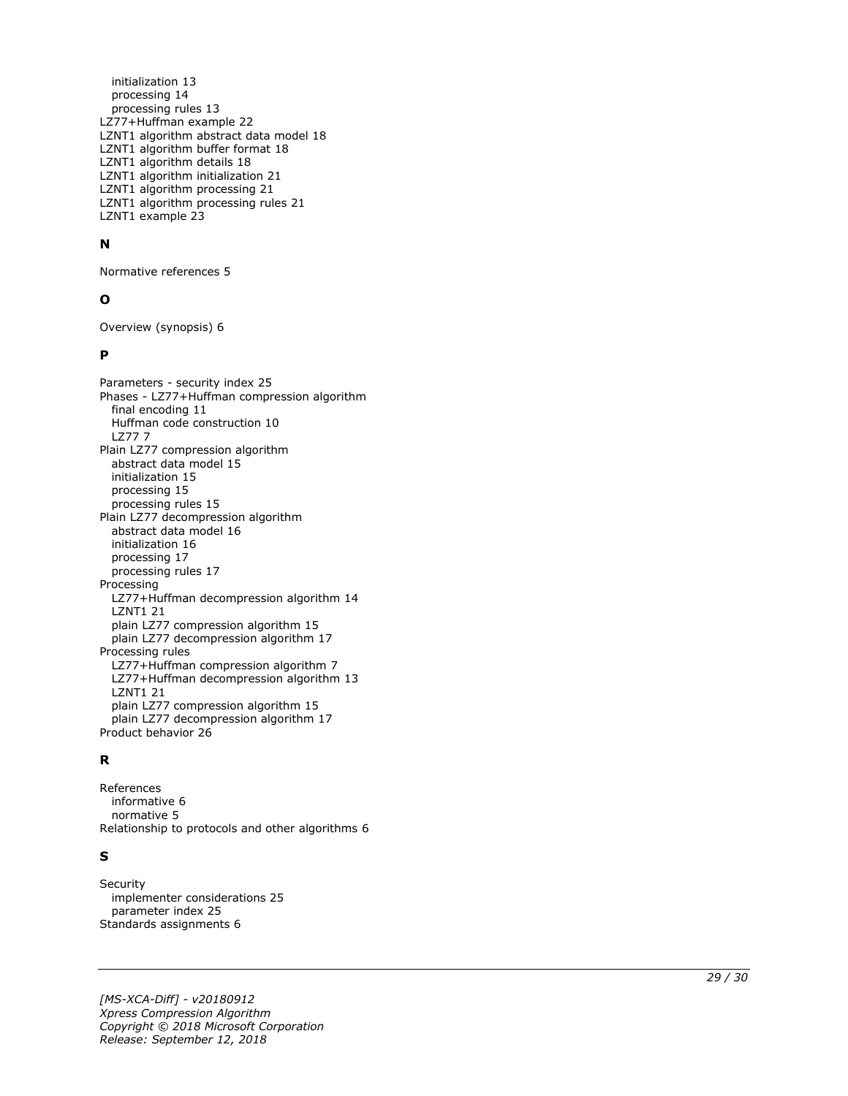initialization 13 processing 14 processing rules 13 LZ77+Huffman example 22 LZNT1 algorithm abstract data model 18 LZNT1 algorithm buffer format 18 LZNT1 algorithm details 18 LZNT1 algorithm initialization 21 LZNT1 algorithm processing 21 LZNT1 algorithm processing rules 21 LZNT1 example 23

#### **N**

Normative references 5

#### **O**

Overview (synopsis) 6

#### **P**

Parameters - security index 25 Phases - LZ77+Huffman compression algorithm final encoding 11 Huffman code construction 10 LZ77 7 Plain LZ77 compression algorithm abstract data model 15 initialization 15 processing 15 processing rules 15 Plain LZ77 decompression algorithm abstract data model 16 initialization 16 processing 17 processing rules 17 Processing LZ77+Huffman decompression algorithm 14 LZNT1 21 plain LZ77 compression algorithm 15 plain LZ77 decompression algorithm 17 Processing rules LZ77+Huffman compression algorithm 7 LZ77+Huffman decompression algorithm 13 LZNT1 21 plain LZ77 compression algorithm 15 plain LZ77 decompression algorithm 17 Product behavior 26

#### **R**

References informative 6 normative 5 Relationship to protocols and other algorithms 6

#### **S**

**Security**  implementer considerations 25 parameter index 25 Standards assignments 6

*[MS -XCA -Diff] - v20180912 Xpress Compression Algorithm Copyright © 2018 Microsoft Corporation Release: September 12, 2018*